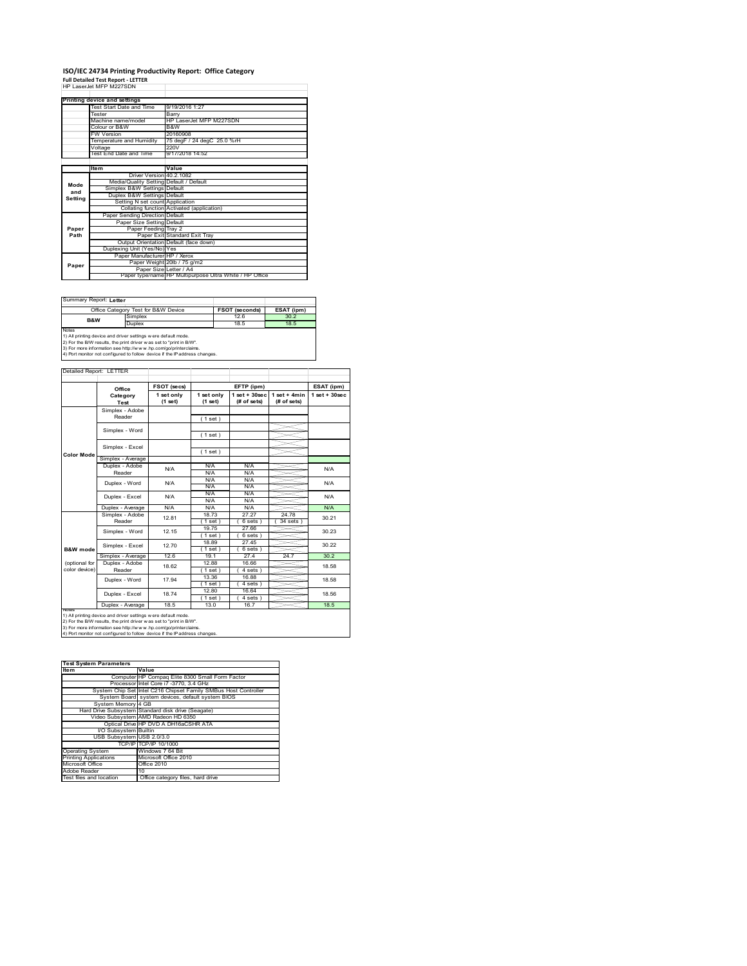# **ISO/IEC 24734 Printing Productivity Report: Office Category Full Detailed Test Report ‐ LETTER** HP LaserJet MFP M227SDN

|         | HP Laser.let MFP M227SDN                |                                                         |  |
|---------|-----------------------------------------|---------------------------------------------------------|--|
|         | Printing device and settings            |                                                         |  |
|         | Test Start Date and Time                | 9/19/2016 1:27                                          |  |
|         | Tester                                  | Barry                                                   |  |
|         | Machine name/model                      | HP LaserJet MFP M227SDN                                 |  |
|         | Colour or B&W                           | B&W                                                     |  |
|         | <b>FW Version</b>                       | 20160908                                                |  |
|         | Temperature and Humidity                | 75 degF / 24 degC 25.0 %rH                              |  |
|         | Voltage                                 | 220V                                                    |  |
|         | Test End Date and Time                  | 9/17/2018 14:52                                         |  |
|         |                                         |                                                         |  |
|         | Item                                    | Value                                                   |  |
|         | Driver Version 40.2.1082                |                                                         |  |
| Mode    | Media/Quality Setting Default / Default |                                                         |  |
| and     | Simplex B&W Settings Default            |                                                         |  |
| Setting | Duplex B&W Settings Default             |                                                         |  |
|         | Setting N set count Application         |                                                         |  |
|         |                                         | Collating function Activated (application)              |  |
|         | Paper Sending Direction Default         |                                                         |  |
|         | Paper Size Setting Default              |                                                         |  |
| Paper   | Paper Feeding Tray 2                    |                                                         |  |
| Path    |                                         | Paper Exit Standard Exit Tray                           |  |
|         |                                         | Output Orientation Default (face down)                  |  |
|         | Duplexing Unit (Yes/No) Yes             |                                                         |  |
|         | Paper Manufacturer HP / Xerox           |                                                         |  |
| Paper   |                                         | Paper Weight 20lb / 75 g/m2                             |  |
|         | Paper Size Letter / A4                  |                                                         |  |
|         |                                         | Paper type/name HP Multipurpose Ultra White / HP Office |  |

Summary Report: **Letter**

|                       | Office Category Test for B&W Device                            | <b>FSOT (seconds)</b> | ESAT (ipm) |
|-----------------------|----------------------------------------------------------------|-----------------------|------------|
| 126<br>Simplex<br>B&W |                                                                | 30.2                  |            |
|                       | <b>Duplex</b>                                                  | 18.5                  | 18.5       |
| <b>Notes</b>          |                                                                |                       |            |
|                       | 1) All printing device and driver settings w ere default mode. |                       |            |

1) All printing device and driver settings were default mode.<br>2) For the B/W results, the print driver was set to "print in B/W".<br>3) For more information see http://www.hp.com/go/printerclaims.<br>4) Port monitor not configur

|                     | Office            | FSOT (secs)             |                       | EFTP (ipm)                       |                               | ESAT (ipm)        |  |
|---------------------|-------------------|-------------------------|-----------------------|----------------------------------|-------------------------------|-------------------|--|
|                     | Category<br>Test  | 1 set only<br>$(1$ set) | 1 set only<br>(1 set) | $1$ set $+30$ sec<br>(# of sets) | $1$ set + 4min<br>(# of sets) | $1$ set $+30$ sec |  |
|                     | Simplex - Adobe   |                         |                       |                                  |                               |                   |  |
|                     | Reader            |                         | (1 set)               |                                  |                               |                   |  |
|                     | Simplex - Word    |                         |                       |                                  |                               |                   |  |
|                     |                   |                         | (1 set)               |                                  |                               |                   |  |
|                     | Simplex - Excel   |                         |                       |                                  |                               |                   |  |
| <b>Color Mode</b>   |                   |                         | (1 set)               |                                  |                               |                   |  |
|                     | Simplex - Average |                         |                       |                                  |                               |                   |  |
|                     | Duplex - Adobe    | N/A                     | N/A                   | N/A                              |                               | N/A               |  |
|                     | Reader            |                         | N/A                   | N/A                              |                               |                   |  |
|                     | Duplex - Word     | N/A                     | N/A                   | N/A                              |                               | N/A               |  |
|                     |                   |                         | N/A                   | N/A                              |                               |                   |  |
|                     | Duplex - Excel    | N/A                     | N/A                   | N/A                              |                               | N/A               |  |
|                     |                   |                         | N/A                   | N/A                              |                               |                   |  |
|                     | Duplex - Average  | N/A                     | N/A                   | N/A                              |                               | N/A               |  |
|                     | Simplex - Adobe   | 12.81                   | 1873                  | 27 27                            | 24 78                         | 30.21             |  |
|                     | Reader            |                         | $1$ set)              | 6 sets )                         | $34$ sets                     |                   |  |
|                     | Simplex - Word    | 12 15                   | 19.75                 | 27.66                            |                               | 30.23             |  |
|                     |                   |                         | $1$ set)              | 6 sets)                          |                               |                   |  |
|                     | Simplex - Excel   | 1270                    | 18.89                 | 27.45                            |                               |                   |  |
| <b>B&amp;W</b> mode |                   |                         | $1$ set)              | 6 sets 1                         |                               | 30.22             |  |
|                     | Simplex - Average | 12.6                    | 19.1                  | 27.4                             | 24.7                          | 30.2              |  |
| (optional for       | Duplex - Adobe    | 18.62                   | 12.88                 | 16.66                            |                               | 18.58             |  |
| color device)       | Reader            |                         | $1$ set)              | 4 sets                           |                               |                   |  |
|                     |                   | 17.94                   | 13.36                 | 16.88                            |                               |                   |  |
|                     | Duplex - Word     |                         | $1$ set)              | $4 sets$ )                       |                               | 18.58             |  |
|                     | Duplex - Excel    | 1874                    | 12.80                 | 16.64                            | 18.56                         |                   |  |
|                     |                   |                         | (1 set)               | 4 sets                           |                               |                   |  |
|                     | Duplex - Average  | 18.5                    | 13.0                  | 16.7                             |                               | 18.5              |  |

1) All printing device and driver settings were default mode.<br>2) For the B/W results, the print driver was set to "print in B/W".<br>3) For more information see http://www.hp.com/go/printerclaims.<br>4) Port monitor not configur

| <b>Test System Parameters</b> |                                                                 |  |  |  |
|-------------------------------|-----------------------------------------------------------------|--|--|--|
| <b>Item</b>                   | Value                                                           |  |  |  |
|                               | Computer HP Compaq Elite 8300 Small Form Factor                 |  |  |  |
|                               | Processor Intel Core i7 -3770, 3.4 GHz                          |  |  |  |
|                               | System Chip Set Intel C216 Chipset Family SMBus Host Controller |  |  |  |
|                               | System Board system devices, default system BIOS                |  |  |  |
| System Memory 4 GB            |                                                                 |  |  |  |
|                               | Hard Drive Subsystem Standard disk drive (Seagate)              |  |  |  |
|                               | Video Subsystem AMD Radeon HD 6350                              |  |  |  |
|                               | Optical Drive HP DVD A DH16aCSHR ATA                            |  |  |  |
| I/O Subsystem Builtin         |                                                                 |  |  |  |
| USB Subsystem USB 2.0/3.0     |                                                                 |  |  |  |
|                               | TCP/IP TCP/IP 10/1000                                           |  |  |  |
| <b>Operating System</b>       | Windows 7 64 Bit                                                |  |  |  |
| <b>Printing Applications</b>  | Microsoft Office 2010                                           |  |  |  |
| Microsoft Office              | Office 2010                                                     |  |  |  |
| Adobe Reader                  | 10                                                              |  |  |  |
| Test files and location       | Office category files, hard drive                               |  |  |  |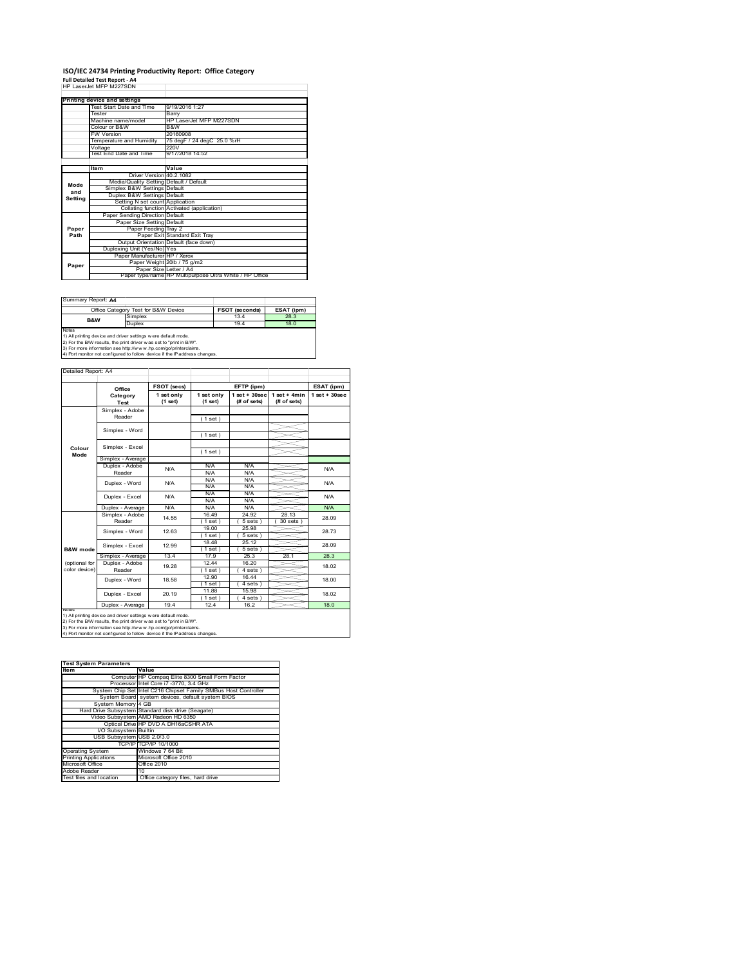### **ISO/IEC 24734 Printing Productivity Report: Office Category Full Detailed Test Report ‐ A4** HP LaserJet MFP M227SDN

|         | HP LASSE JSE MEP M227SLJN               |                                                         |
|---------|-----------------------------------------|---------------------------------------------------------|
|         | Printing device and settings            |                                                         |
|         | Test Start Date and Time                | 9/19/2016 1:27                                          |
|         | Tester                                  | Barry                                                   |
|         | Machine name/model                      | HP LaserJet MFP M227SDN                                 |
|         | Colour or B&W                           | B&W                                                     |
|         | <b>FW Version</b>                       | 20160908                                                |
|         | Temperature and Humidity                | 75 degF / 24 degC 25.0 %rH                              |
|         | Voltage                                 | 220V                                                    |
|         | Test End Date and Time                  | 9/17/2018 14:52                                         |
|         |                                         |                                                         |
|         | <b>Item</b>                             | Value                                                   |
|         | Driver Version 40.2.1082                |                                                         |
| Mode    | Media/Quality Setting Default / Default |                                                         |
| and     | Simplex B&W Settings Default            |                                                         |
| Setting | Duplex B&W Settings Default             |                                                         |
|         | Setting N set count Application         |                                                         |
|         |                                         | Collating function Activated (application)              |
|         | Paper Sending Direction Default         |                                                         |
|         | Paper Size Setting Default              |                                                         |
| Paper   | Paper Feeding Tray 2                    |                                                         |
| Path    |                                         | Paper Exit Standard Exit Tray                           |
|         |                                         | Output Orientation Default (face down)                  |
|         | Duplexing Unit (Yes/No) Yes             |                                                         |
|         | Paper Manufacturer HP / Xerox           |                                                         |
| Paper   |                                         | Paper Weight 20lb / 75 g/m2                             |
|         | Paper Size Letter / A4                  |                                                         |
|         |                                         | Paper type/name HP Multipurpose Ultra White / HP Office |

Summary Report: **A4**

|              | Office Category Test for B&W Device                                                                                                                                                                                                                                                              | <b>FSOT (seconds)</b> | ESAT (ipm) |
|--------------|--------------------------------------------------------------------------------------------------------------------------------------------------------------------------------------------------------------------------------------------------------------------------------------------------|-----------------------|------------|
| B&W          | Simplex                                                                                                                                                                                                                                                                                          | 13.4                  | 28.3       |
|              | Duplex                                                                                                                                                                                                                                                                                           | 19.4                  | 18.0       |
| <b>Notes</b> |                                                                                                                                                                                                                                                                                                  |                       |            |
|              | 1) All printing device and driver settings w ere default mode.<br>and the contract of the contract of the contract of the contract of the contract of the contract of the contract of the contract of the contract of the contract of the contract of the contract of the contract of the contra |                       |            |

1) All printing device and driver settings were default mode.<br>2) For the B/W results, the print driver was set to "print in B/W".<br>3) For more information see http://www.hp.com/go/printerclaims.<br>4) Port monitor not configur

|               | Office            | FSOT (secs)             |                       | EFTP (ipm)                       |                               | ESAT (ipm)        |       |
|---------------|-------------------|-------------------------|-----------------------|----------------------------------|-------------------------------|-------------------|-------|
|               | Category<br>Test  | 1 set only<br>$(1$ set) | 1 set only<br>(1 set) | $1$ set $+30$ sec<br>(# of sets) | $1$ set + 4min<br>(# of sets) | $1$ set $+30$ sec |       |
|               | Simplex - Adobe   |                         |                       |                                  |                               |                   |       |
|               | Reader            |                         | (1 set)               |                                  |                               |                   |       |
|               | Simplex - Word    |                         |                       |                                  |                               |                   |       |
|               |                   |                         | (1 set)               |                                  |                               |                   |       |
| Colour        | Simplex - Excel   |                         |                       |                                  |                               |                   |       |
| Mode          |                   |                         | (1 set)               |                                  |                               |                   |       |
|               | Simplex - Average |                         |                       |                                  |                               |                   |       |
|               | Duplex - Adobe    | N/A                     | N/A                   | N/A                              |                               | N/A               |       |
|               | Reader            |                         | N/A                   | N/A                              |                               |                   |       |
|               | Duplex - Word     | N/A                     | N/A                   | N/A                              |                               | N/A               |       |
|               |                   |                         | N/A                   | N/A                              |                               |                   |       |
|               | Duplex - Excel    | N/A                     | N/A                   | N/A                              |                               | N/A               |       |
|               |                   |                         | N/A                   | N/A                              |                               |                   |       |
|               | Duplex - Average  | N/A                     | N/A                   | N/A                              |                               | N/A               |       |
|               | Simplex - Adobe   | 14.55                   | 16 49                 | 24.92                            | 28 13                         | 28.09             |       |
|               | Reader            |                         | 1 set)                | 5 sets)                          | $30$ sets                     |                   |       |
|               | Simplex - Word    | 12.63                   | 19.00                 | 25.98                            |                               | 28.73             |       |
|               |                   |                         | (1 set)               | 5 sets)                          |                               |                   |       |
|               |                   | Simplex - Excel         | 12.99                 | 18 48                            | 25 12                         |                   | 28.09 |
| B&W mode      |                   |                         | (1 set)               | 5 sets                           |                               |                   |       |
|               | Simplex - Average | 13.4                    | 17.9                  | 25.3                             | 28.1                          | 28.3              |       |
| (optional for | Duplex - Adobe    | 19 28                   | 12.44                 | 16.20                            |                               | 18.02             |       |
| color device) | Reader            |                         | $1$ set)              | 4 sets                           |                               |                   |       |
|               | Duplex - Word     | 18.58                   | 12.90                 | 16.44                            |                               | 18.00             |       |
|               |                   |                         | (1 set)               | 4 sets)                          |                               |                   |       |
|               | Duplex - Excel    | 11.88<br>15.98<br>20.19 |                       | 18.02                            |                               |                   |       |
|               |                   |                         | (1 set)               | $4 sets$ )                       |                               |                   |       |
|               | Duplex - Average  | 19.4                    | 12.4                  | 16.2                             |                               | 18.0              |       |

1) All printing device and driver settings were default mode.<br>2) For the B/W results, the print driver was set to "print in B/W".<br>3) For more information see http://www.hp.com/go/printerclaims.<br>4) Port monitor not configur

| <b>Test System Parameters</b> |                                                                 |  |  |  |  |
|-------------------------------|-----------------------------------------------------------------|--|--|--|--|
| <b>Item</b>                   | Value                                                           |  |  |  |  |
|                               | Computer HP Compaq Elite 8300 Small Form Factor                 |  |  |  |  |
|                               | Processor Intel Core i7 -3770, 3.4 GHz                          |  |  |  |  |
|                               | System Chip Set Intel C216 Chipset Family SMBus Host Controller |  |  |  |  |
|                               | System Board system devices, default system BIOS                |  |  |  |  |
| System Memory 4 GB            |                                                                 |  |  |  |  |
|                               | Hard Drive Subsystem Standard disk drive (Seagate)              |  |  |  |  |
|                               | Video Subsystem AMD Radeon HD 6350                              |  |  |  |  |
|                               | Optical Drive HP DVD A DH16aCSHR ATA                            |  |  |  |  |
| I/O Subsystem Builtin         |                                                                 |  |  |  |  |
| USB Subsystem USB 2.0/3.0     |                                                                 |  |  |  |  |
|                               | TCP/IP TCP/IP 10/1000                                           |  |  |  |  |
| <b>Operating System</b>       | Windows 7 64 Bit                                                |  |  |  |  |
| <b>Printing Applications</b>  | Microsoft Office 2010                                           |  |  |  |  |
| Microsoft Office              | Office 2010                                                     |  |  |  |  |
| Adobe Reader                  | 10                                                              |  |  |  |  |
| Test files and location       | Office category files, hard drive                               |  |  |  |  |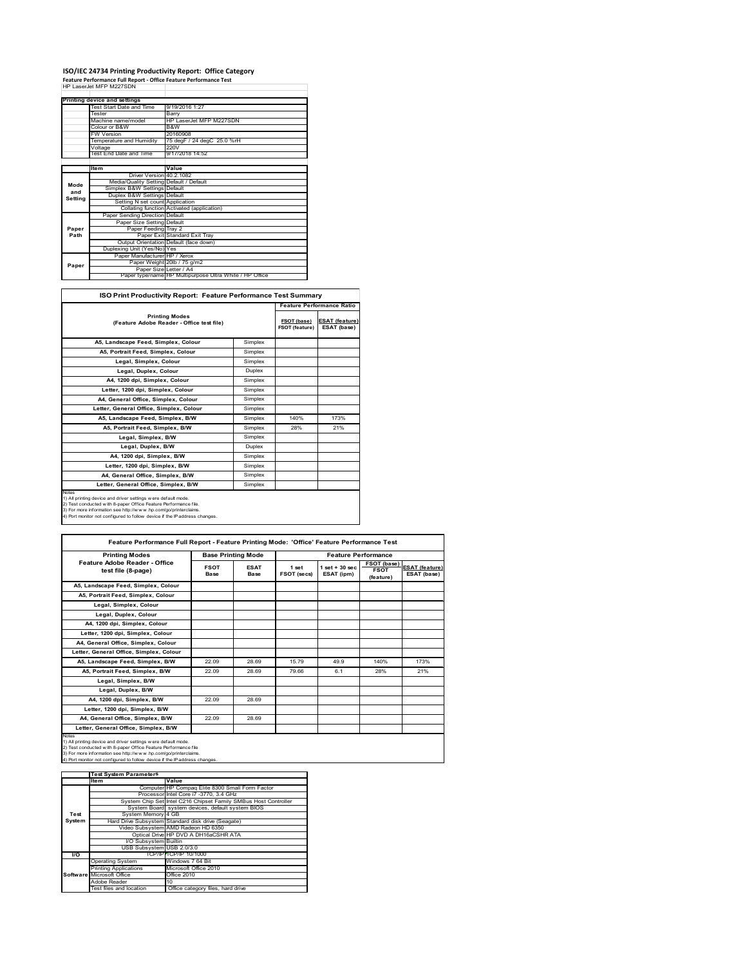## **ISO/IEC 24734 Printing Productivity Report: Office Category Feature Performance Full Report ‐ Office Feature Performance Test** HP LaserJet MFP M227SDN

|         | . cature remonmance run neport - onnee reature remonmance rest<br>HP I aser let MFP M227SDN |                                                         |
|---------|---------------------------------------------------------------------------------------------|---------------------------------------------------------|
|         |                                                                                             |                                                         |
|         | Printing device and settings                                                                |                                                         |
|         | Test Start Date and Time                                                                    | 9/19/2016 1:27                                          |
|         | Tester                                                                                      | Barry                                                   |
|         | Machine name/model                                                                          | HP LaserJet MFP M227SDN                                 |
|         | Colour or B&W                                                                               | B&W                                                     |
|         | <b>FW Version</b>                                                                           | 20160908                                                |
|         | Temperature and Humidity                                                                    | 75 degF / 24 degC 25.0 %rH                              |
|         | Voltage                                                                                     | 220V                                                    |
|         | Test End Date and Time                                                                      | 9/17/2018 14:52                                         |
|         |                                                                                             |                                                         |
|         | Item                                                                                        | Value                                                   |
|         | Driver Version 40.2.1082                                                                    |                                                         |
| Mode    | Media/Quality Setting Default / Default                                                     |                                                         |
| and     | Simplex B&W Settings Default                                                                |                                                         |
| Setting | Duplex B&W Settings Default                                                                 |                                                         |
|         | Setting N set count Application                                                             |                                                         |
|         |                                                                                             | Collating function Activated (application)              |
|         | Paper Sending Direction Default                                                             |                                                         |
|         | Paper Size Setting Default                                                                  |                                                         |
| Paper   | Paper Feeding Tray 2                                                                        |                                                         |
| Path    |                                                                                             | Paper Exit Standard Exit Trav                           |
|         |                                                                                             | Output Orientation Default (face down)                  |
|         | Duplexing Unit (Yes/No) Yes                                                                 |                                                         |
|         | Paper Manufacturer HP / Xerox                                                               |                                                         |
| Paper   |                                                                                             | Paper Weight 20lb / 75 g/m2                             |
|         | Paper Size Letter / A4                                                                      |                                                         |
|         |                                                                                             | Paper type/name HP Multipurpose Ultra White / HP Office |

| <b>ISO Print Productivity Report: Feature Performance Test Summary</b>                                                                                                                                                                                                                      |         |                               |                                      |
|---------------------------------------------------------------------------------------------------------------------------------------------------------------------------------------------------------------------------------------------------------------------------------------------|---------|-------------------------------|--------------------------------------|
|                                                                                                                                                                                                                                                                                             |         |                               | <b>Feature Performance Ratio</b>     |
| <b>Printing Modes</b><br>(Feature Adobe Reader - Office test file)                                                                                                                                                                                                                          |         | FSOT (base)<br>FSOT (feature) | <b>ESAT (feature)</b><br>ESAT (base) |
| A5. Landscape Feed. Simplex. Colour                                                                                                                                                                                                                                                         | Simplex |                               |                                      |
| A5, Portrait Feed, Simplex, Colour                                                                                                                                                                                                                                                          | Simplex |                               |                                      |
| Legal, Simplex, Colour                                                                                                                                                                                                                                                                      | Simplex |                               |                                      |
| Legal, Duplex, Colour                                                                                                                                                                                                                                                                       | Duplex  |                               |                                      |
| A4. 1200 dpi. Simplex. Colour                                                                                                                                                                                                                                                               | Simplex |                               |                                      |
| Letter, 1200 dpi, Simplex, Colour                                                                                                                                                                                                                                                           | Simplex |                               |                                      |
| A4, General Office, Simplex, Colour                                                                                                                                                                                                                                                         | Simplex |                               |                                      |
| Letter, General Office, Simplex, Colour                                                                                                                                                                                                                                                     | Simplex |                               |                                      |
| A5. Landscape Feed. Simplex. B/W                                                                                                                                                                                                                                                            | Simplex | 140%                          | 173%                                 |
| A5. Portrait Feed. Simplex. B/W                                                                                                                                                                                                                                                             | Simplex | 28%                           | 21%                                  |
| Legal, Simplex, B/W                                                                                                                                                                                                                                                                         | Simplex |                               |                                      |
| Legal, Duplex, B/W                                                                                                                                                                                                                                                                          | Duplex  |                               |                                      |
| A4, 1200 dpi, Simplex, B/W                                                                                                                                                                                                                                                                  | Simplex |                               |                                      |
| Letter, 1200 dpi, Simplex, B/W                                                                                                                                                                                                                                                              | Simplex |                               |                                      |
| A4, General Office, Simplex, B/W                                                                                                                                                                                                                                                            | Simplex |                               |                                      |
| Letter, General Office, Simplex, B/W                                                                                                                                                                                                                                                        | Simplex |                               |                                      |
| Notes<br>1) All printing device and driver settings w ere default mode.<br>2) Test conducted with 8-paper Office Feature Performance file.<br>3) For more information see http://www.hp.com/go/printerclaims.<br>4) Port monitor not configured to follow device if the IP address changes. |         |                               |                                      |

| Feature Performance Full Report - Feature Printing Mode: 'Office' Feature Performance Test                                                                                                                                                                                                 |                            |                           |                      |                                  |                                                |                                      |
|--------------------------------------------------------------------------------------------------------------------------------------------------------------------------------------------------------------------------------------------------------------------------------------------|----------------------------|---------------------------|----------------------|----------------------------------|------------------------------------------------|--------------------------------------|
| <b>Printing Modes</b>                                                                                                                                                                                                                                                                      |                            | <b>Base Printing Mode</b> |                      | <b>Feature Performance</b>       |                                                |                                      |
| Feature Adobe Reader - Office<br>test file (8-page)                                                                                                                                                                                                                                        | <b>FSOT</b><br><b>Base</b> | <b>ESAT</b><br>Base       | 1 set<br>FSOT (secs) | $1$ set $+30$ sec.<br>ESAT (ipm) | <b>FSOT (base)</b><br><b>FSOT</b><br>(feature) | <b>ESAT (feature)</b><br>ESAT (base) |
| A5. Landscape Feed. Simplex. Colour                                                                                                                                                                                                                                                        |                            |                           |                      |                                  |                                                |                                      |
| A5, Portrait Feed, Simplex, Colour                                                                                                                                                                                                                                                         |                            |                           |                      |                                  |                                                |                                      |
| Legal, Simplex, Colour                                                                                                                                                                                                                                                                     |                            |                           |                      |                                  |                                                |                                      |
| Legal, Duplex, Colour                                                                                                                                                                                                                                                                      |                            |                           |                      |                                  |                                                |                                      |
| A4, 1200 dpi, Simplex, Colour                                                                                                                                                                                                                                                              |                            |                           |                      |                                  |                                                |                                      |
| Letter, 1200 dpi, Simplex, Colour                                                                                                                                                                                                                                                          |                            |                           |                      |                                  |                                                |                                      |
| A4, General Office, Simplex, Colour                                                                                                                                                                                                                                                        |                            |                           |                      |                                  |                                                |                                      |
| Letter, General Office, Simplex, Colour                                                                                                                                                                                                                                                    |                            |                           |                      |                                  |                                                |                                      |
| A5, Landscape Feed, Simplex, B/W                                                                                                                                                                                                                                                           | 22.09                      | 28.69                     | 15.79                | 49.9                             | 140%                                           | 173%                                 |
| A5, Portrait Feed, Simplex, B/W                                                                                                                                                                                                                                                            | 22.09                      | 28.69                     | 79.66                | 6.1                              | 28%                                            | 21%                                  |
| Legal, Simplex, B/W                                                                                                                                                                                                                                                                        |                            |                           |                      |                                  |                                                |                                      |
| Legal, Duplex, B/W                                                                                                                                                                                                                                                                         |                            |                           |                      |                                  |                                                |                                      |
| A4, 1200 dpi, Simplex, B/W                                                                                                                                                                                                                                                                 | 22.09                      | 28.69                     |                      |                                  |                                                |                                      |
| Letter, 1200 dpi. Simplex, B/W                                                                                                                                                                                                                                                             |                            |                           |                      |                                  |                                                |                                      |
| A4, General Office, Simplex, B/W                                                                                                                                                                                                                                                           | 22.09                      | 28.69                     |                      |                                  |                                                |                                      |
| Letter, General Office, Simplex, B/W                                                                                                                                                                                                                                                       |                            |                           |                      |                                  |                                                |                                      |
| Notes<br>1) All printing device and driver settings w ere default mode.<br>2) Test conducted with 8-paper Office Feature Performance file<br>3) For more information see http://www.hp.com/go/printerclaims.<br>4) Port monitor not configured to follow device if the IP address changes. |                            |                           |                      |                                  |                                                |                                      |

|           | <b>Test System Parameters</b> |                                                                 |  |  |  |
|-----------|-------------------------------|-----------------------------------------------------------------|--|--|--|
|           | <b>Item</b>                   | Value                                                           |  |  |  |
|           |                               | Computer HP Compaq Elite 8300 Small Form Factor                 |  |  |  |
|           |                               | Processor Intel Core i7 -3770, 3.4 GHz                          |  |  |  |
|           |                               | System Chip Set Intel C216 Chipset Family SMBus Host Controller |  |  |  |
|           |                               | System Board system devices, default system BIOS                |  |  |  |
| Test      | System Memory 4 GB            |                                                                 |  |  |  |
| System    |                               | Hard Drive Subsystem Standard disk drive (Seagate)              |  |  |  |
|           |                               | Video Subsystem AMD Radeon HD 6350                              |  |  |  |
|           |                               | Optical Drive HP DVD A DH16aCSHR ATA                            |  |  |  |
|           | I/O Subsystem Builtin         |                                                                 |  |  |  |
|           | USB Subsystem USB 2.0/3.0     |                                                                 |  |  |  |
| <b>VO</b> |                               | TCP/IPITCP/IP 10/1000                                           |  |  |  |
|           | <b>Operating System</b>       | Windows 7 64 Bit                                                |  |  |  |
|           | <b>Printing Applications</b>  | Microsoft Office 2010                                           |  |  |  |
|           | Software Microsoft Office     | Office 2010                                                     |  |  |  |
|           | Adobe Reader                  | 10                                                              |  |  |  |
|           | Test files and location       | Office category files, hard drive                               |  |  |  |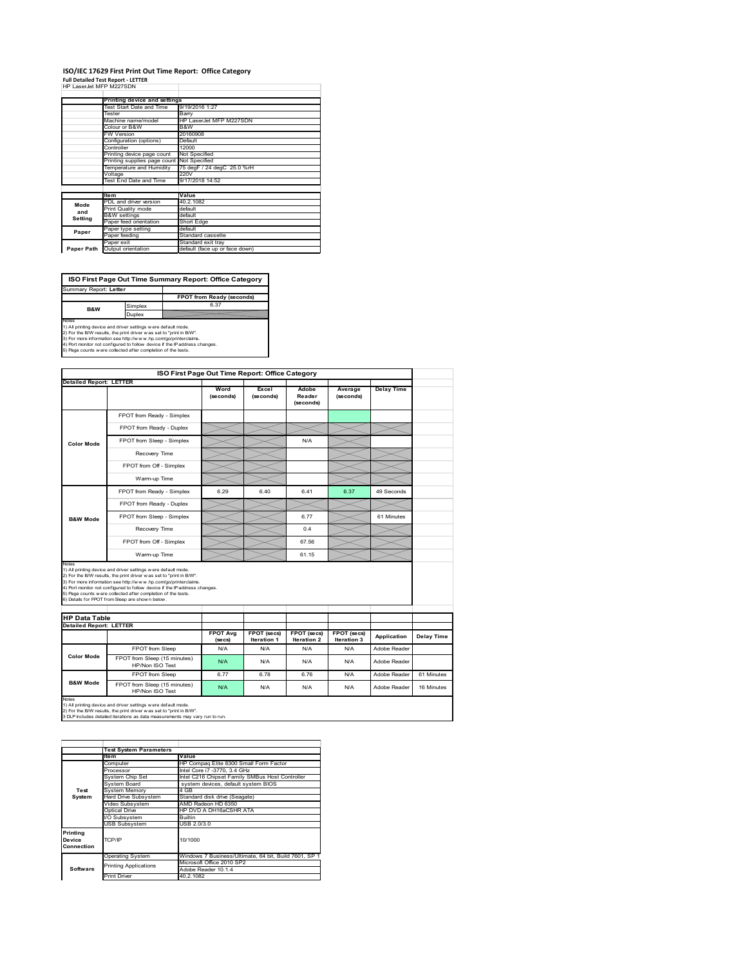#### **ISO/IEC 17629 First Print Out Time Report: Office Category Full Detailed Test Report ‐ LETTER**

|  | HP LaserJet MFP M227SDN |  |  |
|--|-------------------------|--|--|

|            | Printing device and settings |                                |
|------------|------------------------------|--------------------------------|
|            | Test Start Date and Time     | 9/19/2016 1:27                 |
|            | Tester                       | Barry                          |
|            | Machine name/model           | HP LaserJet MFP M227SDN        |
|            | Colour or B&W                | B&W                            |
|            | FW Version                   | 20160908                       |
|            | Configuration (options)      | Default                        |
|            | Controller                   | 12000                          |
|            | Printing device page count   | Not Specified                  |
|            | Printing supplies page count | Not Specified                  |
|            | Temperature and Humidity     | 75 degF / 24 degC 25.0 %rH     |
|            | Voltage                      | 220V                           |
|            | Test End Date and Time       | 9/17/2018 14:52                |
|            |                              |                                |
|            | <b>Item</b>                  | Value                          |
| Mode       | PDL and driver version       | 40.2.1082                      |
| and        | Print Quality mode           | default                        |
|            | <b>B&amp;W</b> settings      | default                        |
| Setting    | Paper feed orientation       | Short Edge                     |
| Paper      | Paper type setting           | default                        |
|            | Paper feeding                | Standard cassette              |
|            | Paper exit                   | Standard exit tray             |
| Paper Path | Output orientation           | default (face up or face down) |
|            |                              |                                |

**FPOT from Ready (second** implex **ISO First Page Out Time Summary Report: Office Category** Summary Report: **Letter B&W**

Duplex

Notes<br>1) All printing device and driver settings were default mode.<br>2) For the BW results, the print driver was set to "print in BW".<br>3) For more information see http://www.hp.com/golprinterclaims.<br>4) Port montor not confi

**ISO First Page Out Time Report: Office Category Detailed Report: LETTER Excel Wo Delay Time Adobe Reader Average (seconds)** (secon **(seconds) (seconds)** FPOT from Ready - Simplex FPOT from Ready - Duplex  $\prec$ FPOT from Sleep - Simplex  $\sqrt{\phantom{a}}$  N/A **Color Mode** Recovery Time  $\equiv$ FPOT from Off - Simplex  $\equiv$ Warm-up Time  $\prec$ ↘  $\prec$ FPOT from Ready - Simplex 6.29 6.40 6.41 6.37 49 Seconds FPOT from Ready - Duplex  $>\!\!<$ FPOT from Sleep - Simplex  $\sim$  6.77 61 Minutes **B&W Mode** Recovery Time  $\sim$  0.4 FPOT from Off - Simplex 67.56 Warm-up Time  $\sum$  61.15 Notes<br>1) All printing device and driver settings were default mode.<br>2) For the BMV results, the print driver was set to "print in BMV".<br>3) For more information see http://www.hp.com/golprinterclaims.<br>4) Port monter not con **HP Data Table Detailed Report: LETTER FPOT Avg FPOT (secs) FPOT (secs) FPOT (secs) Iteration 3 Application Delay Time Iteration 1 (secs) Iteration 2** FPOT from Sleep N/A N/A N/A N/A N/A Adobe Reade **Color Mode** FPOT from Sleep (15 minutes) N/A N/A N/A N/A HP/Non ISO Test N/A N/A Reader FPOT from Sleep 6.77 6.78 6.76 N/A Adobe Reader 61 Minutes **B&W Mode** FPOT from Sleep (15 minutes) T from Sieep (15 minutes) N/A N/A N/A N/A Adobe Reader 16 Minutes Notes<br>1) All printing device and driver settings w ere default mode.<br>2) For the B/W results, the print driver w as set to "print in B/W".<br>3 DLP includes detailed iterations as data measurements may vary run to run.

|                                  | <b>Test System Parameters</b> |                                                       |
|----------------------------------|-------------------------------|-------------------------------------------------------|
|                                  | <b>Item</b>                   | Value                                                 |
|                                  | Computer                      | HP Compag Elite 8300 Small Form Factor                |
|                                  | Processor                     | Intel Core i7 -3770, 3.4 GHz                          |
|                                  | System Chip Set               | Intel C216 Chipset Family SMBus Host Controller       |
|                                  | System Board                  | system devices, default system BIOS                   |
| Test                             | <b>System Memory</b>          | 4 GB                                                  |
| System                           | Hard Drive Subsystem          | Standard disk drive (Seagate)                         |
|                                  | Video Subsystem               | AMD Radeon HD 6350                                    |
|                                  | Optical Drive                 | HP DVD A DH16aCSHR ATA                                |
|                                  | I/O Subsystem                 | <b>Builtin</b>                                        |
|                                  | <b>USB Subsystem</b>          | USB 2.0/3.0                                           |
| Printing<br>Device<br>Connection | TCP/IP                        | 10/1000                                               |
|                                  | <b>Operating System</b>       | Windows 7 Business/Ultimate, 64 bit, Build 7601, SP 1 |
|                                  | <b>Printing Applications</b>  | Microsoft Office 2010 SP2                             |
| Software                         |                               | Adobe Reader 10.1.4                                   |
|                                  | <b>Print Driver</b>           | 40.2.1082                                             |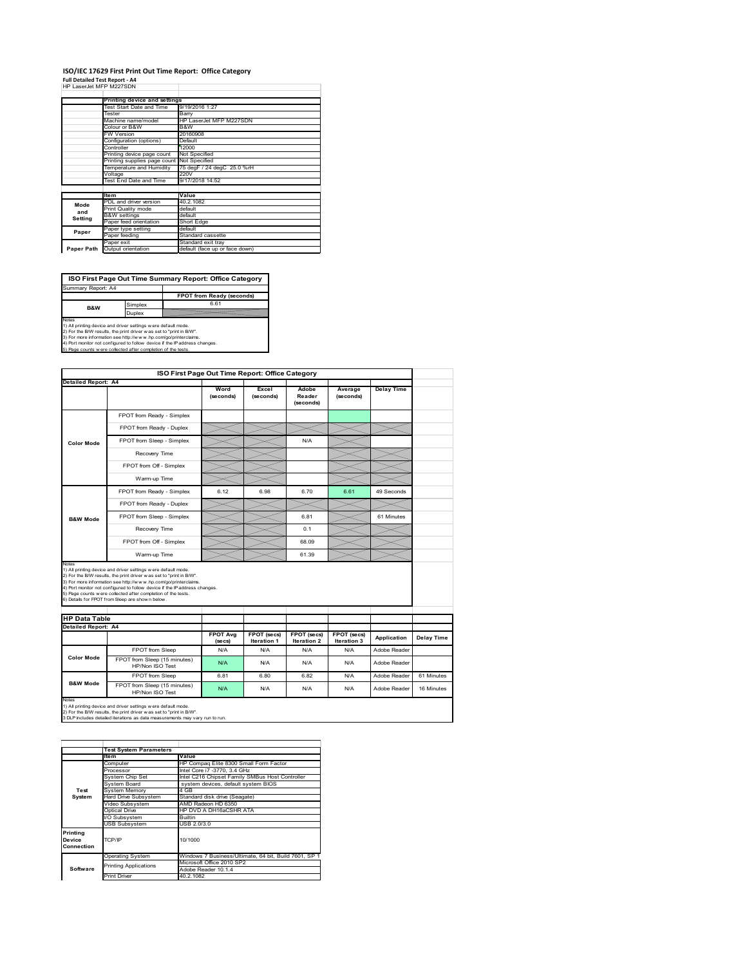#### **ISO/IEC 17629 First Print Out Time Report: Office Category Full Detailed Test Report ‐ A4**

|  | $\frac{1}{2}$ and $\frac{1}{2}$ are $\frac{1}{2}$ and $\frac{1}{2}$ are $\frac{1}{2}$ |  |  |
|--|---------------------------------------------------------------------------------------|--|--|
|  | HP LaserJet MFP M227SDN                                                               |  |  |

|            | Printing device and settings |                                |
|------------|------------------------------|--------------------------------|
|            | Test Start Date and Time     | 9/19/2016 1:27                 |
|            | Tester                       | Barry                          |
|            | Machine name/model           | HP LaserJet MFP M227SDN        |
|            | Colour or B&W                | B&W                            |
|            | <b>FW Version</b>            | 20160908                       |
|            | Configuration (options)      | Default                        |
|            | Controller                   | 12000                          |
|            | Printing device page count   | Not Specified                  |
|            | Printing supplies page count | Not Specified                  |
|            | Temperature and Humidity     | 75 degF / 24 degC 25.0 %rH     |
|            | Voltage                      | 220V                           |
|            | Test End Date and Time       | 9/17/2018 14:52                |
|            |                              |                                |
|            | <b>Item</b>                  | Value                          |
| Mode       | PDL and driver version       | 40.2.1082                      |
| and        | Print Quality mode           | default                        |
| Setting    | <b>B&amp;W</b> settings      | default                        |
|            | Paper feed orientation       | Short Edge                     |
| Paper      | Paper type setting           | default                        |
|            | Paper feeding                | Standard cassette              |
|            | Paper exit                   | Standard exit tray             |
| Paper Path | Output orientation           | default (face up or face down) |

**ISO First Page Out Time Summary Report: Office Category**

**FPOT from Ready (seconds)** Simplex 6.61 Duplex Notes<br>1) All printing device and driver settings were default mode.<br>2) For the BAV results, the print driver was set to "print in BAV".<br>3) For more information see http://www.hp.com/golprinterclaims.<br>4) Port monitor not co Summary Report: A4 **B&W**

| <b>Detailed Report: A4</b>                         |                                                                                                                                                                                                                                                                                                                                                                                                             |                 |                    |                     |             |                   |            |
|----------------------------------------------------|-------------------------------------------------------------------------------------------------------------------------------------------------------------------------------------------------------------------------------------------------------------------------------------------------------------------------------------------------------------------------------------------------------------|-----------------|--------------------|---------------------|-------------|-------------------|------------|
|                                                    |                                                                                                                                                                                                                                                                                                                                                                                                             | Word            | Excel              | Adobe               | Average     | <b>Delay Time</b> |            |
|                                                    |                                                                                                                                                                                                                                                                                                                                                                                                             | (seconds)       | (seconds)          | Reader<br>(seconds) | (seconds)   |                   |            |
|                                                    | FPOT from Ready - Simplex                                                                                                                                                                                                                                                                                                                                                                                   |                 |                    |                     |             |                   |            |
|                                                    | FPOT from Ready - Duplex                                                                                                                                                                                                                                                                                                                                                                                    |                 |                    |                     |             |                   |            |
| <b>Color Mode</b>                                  | FPOT from Sleep - Simplex                                                                                                                                                                                                                                                                                                                                                                                   |                 |                    | N/A                 |             |                   |            |
|                                                    | Recovery Time                                                                                                                                                                                                                                                                                                                                                                                               |                 |                    |                     |             |                   |            |
|                                                    | FPOT from Off - Simplex                                                                                                                                                                                                                                                                                                                                                                                     |                 |                    |                     |             |                   |            |
|                                                    | Warm-up Time                                                                                                                                                                                                                                                                                                                                                                                                |                 |                    |                     |             |                   |            |
|                                                    | FPOT from Ready - Simplex                                                                                                                                                                                                                                                                                                                                                                                   | 6.12            | 6.98               | 6.70                | 6.61        | 49 Seconds        |            |
|                                                    | FPOT from Ready - Duplex                                                                                                                                                                                                                                                                                                                                                                                    |                 |                    |                     |             |                   |            |
| <b>B&amp;W Mode</b>                                | FPOT from Sleep - Simplex                                                                                                                                                                                                                                                                                                                                                                                   |                 |                    | 6.81                |             | 61 Minutes        |            |
|                                                    | Recovery Time                                                                                                                                                                                                                                                                                                                                                                                               |                 |                    | 0.1                 |             |                   |            |
|                                                    | FPOT from Off - Simplex                                                                                                                                                                                                                                                                                                                                                                                     |                 |                    | 68.09               |             |                   |            |
|                                                    | Warm-up Time                                                                                                                                                                                                                                                                                                                                                                                                |                 |                    | 61.39               |             |                   |            |
| <b>HP Data Table</b><br><b>Detailed Report: A4</b> | 1) All printing device and driver settings w ere default mode.<br>2) For the B/W results, the print driver was set to "print in B/W".<br>3) For more information see http://www.hp.com/go/printerclaims.<br>4) Port monitor not configured to follow device if the IP address changes.<br>5) Page counts w ere collected after completion of the tests.<br>6) Details for FPOT from Sleep are show n below. | <b>FPOT Avg</b> | FPOT (secs)        | FPOT (secs)         | FPOT (secs) |                   |            |
|                                                    |                                                                                                                                                                                                                                                                                                                                                                                                             | (se cs)         | <b>Iteration 1</b> | Iteration 2         | Iteration 3 | Application       | Delay Time |
| <b>Color Mode</b>                                  | FPOT from Sleep<br>FPOT from Sleep (15 minutes)                                                                                                                                                                                                                                                                                                                                                             | N/A             | N/A                | N/A                 | N/A         | Adobe Reader      |            |
|                                                    | HP/Non ISO Test                                                                                                                                                                                                                                                                                                                                                                                             | N/A             | N/A                | N/A                 | N/A         | Adobe Reader      |            |
|                                                    |                                                                                                                                                                                                                                                                                                                                                                                                             | 6.81            | 6.80               | 6.82                | N/A         | Adobe Reader      | 61 Minutes |
| <b>B&amp;W Mode</b>                                | FPOT from Sleep<br>FPOT from Sleep (15 minutes)                                                                                                                                                                                                                                                                                                                                                             |                 |                    |                     |             |                   |            |

|                                  | <b>Test System Parameters</b> |                                                       |
|----------------------------------|-------------------------------|-------------------------------------------------------|
|                                  | Item                          | Value                                                 |
|                                  | Computer                      | HP Compag Elite 8300 Small Form Factor                |
|                                  | Processor                     | Intel Core i7 -3770, 3.4 GHz                          |
|                                  | System Chip Set               | Intel C216 Chipset Family SMBus Host Controller       |
|                                  | System Board                  | system devices, default system BIOS                   |
| Test                             | <b>System Memory</b>          | 4 GB                                                  |
| System                           | Hard Drive Subsystem          | Standard disk drive (Seagate)                         |
|                                  | Video Subsystem               | AMD Radeon HD 6350                                    |
|                                  | <b>Optical Drive</b>          | HP DVD A DH16aCSHR ATA                                |
|                                  | I/O Subsystem                 | <b>Builtin</b>                                        |
|                                  | <b>USB Subsystem</b>          | USB 2.0/3.0                                           |
| Printing<br>Device<br>Connection | TCP/IP                        | 10/1000                                               |
|                                  | <b>Operating System</b>       | Windows 7 Business/Ultimate, 64 bit, Build 7601, SP 1 |
|                                  | <b>Printing Applications</b>  | Microsoft Office 2010 SP2                             |
| Software                         |                               | Adobe Reader 10.1.4                                   |
|                                  | <b>Print Driver</b>           | 40.2.1082                                             |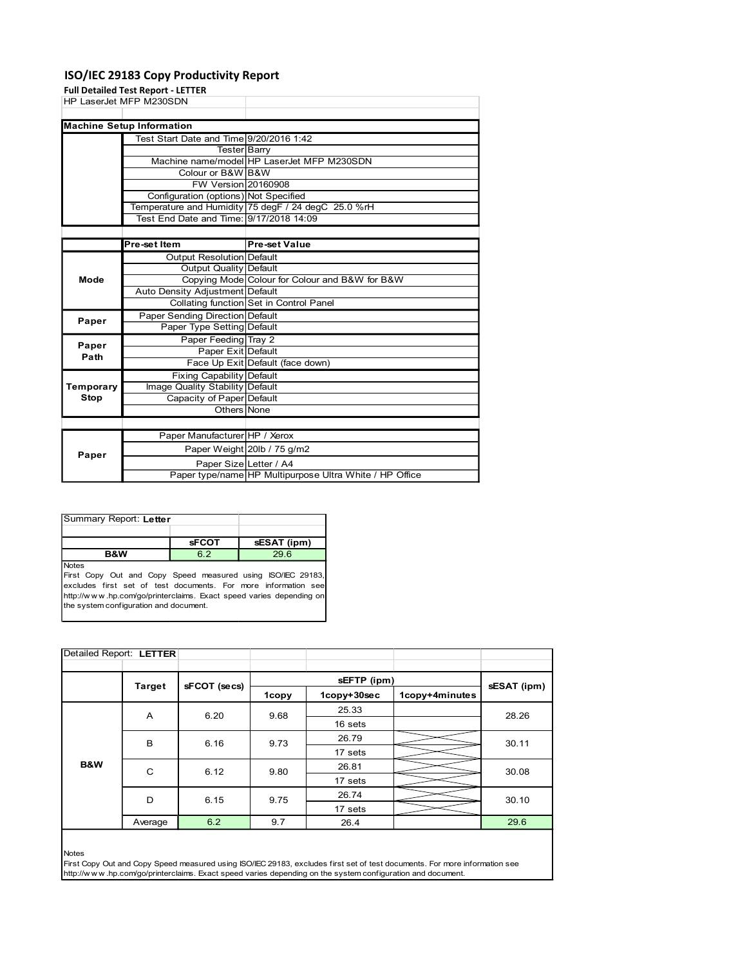## ISO/IEC 29183 Copy Productivity Report

|                                                                      |              | ISO/IEC 29183 Copy Productivity Report                              |                                                                                   |  |  |
|----------------------------------------------------------------------|--------------|---------------------------------------------------------------------|-----------------------------------------------------------------------------------|--|--|
| <b>Full Detailed Test Report - LETTER</b><br>HP LaserJet MFP M230SDN |              |                                                                     |                                                                                   |  |  |
|                                                                      |              |                                                                     |                                                                                   |  |  |
| <b>Machine Setup Information</b>                                     |              |                                                                     |                                                                                   |  |  |
|                                                                      |              | Test Start Date and Time 9/20/2016 1:42                             |                                                                                   |  |  |
|                                                                      |              | <b>Tester Barry</b>                                                 | Machine name/model HP LaserJet MFP M230SDN                                        |  |  |
|                                                                      |              | Colour or B&W B&W                                                   |                                                                                   |  |  |
|                                                                      |              | FW Version 20160908                                                 |                                                                                   |  |  |
|                                                                      |              | Configuration (options) Not Specified                               | Temperature and Humidity 75 degF / 24 degC 25.0 %rH                               |  |  |
|                                                                      |              |                                                                     | Test End Date and Time: 9/17/2018 14:09                                           |  |  |
|                                                                      |              |                                                                     |                                                                                   |  |  |
|                                                                      | Pre-set Item |                                                                     | <b>Pre-set Value</b>                                                              |  |  |
|                                                                      |              | <b>Output Resolution Default</b><br><b>Output Quality Default</b>   |                                                                                   |  |  |
| Mode                                                                 |              |                                                                     | Copying Mode Colour for Colour and B&W for B&W                                    |  |  |
|                                                                      |              | Auto Density Adjustment Default                                     |                                                                                   |  |  |
|                                                                      |              |                                                                     | Collating function Set in Control Panel                                           |  |  |
| Paper                                                                |              | Paper Sending Direction Default<br>Paper Type Setting Default       |                                                                                   |  |  |
|                                                                      |              | Paper Feeding Tray 2                                                |                                                                                   |  |  |
| Paper<br>Path                                                        |              | Paper Exit Default                                                  |                                                                                   |  |  |
|                                                                      |              |                                                                     | Face Up Exit Default (face down)                                                  |  |  |
| Temporary                                                            |              | <b>Fixing Capability Default</b><br>Image Quality Stability Default |                                                                                   |  |  |
| <b>Stop</b>                                                          |              | Capacity of Paper Default                                           |                                                                                   |  |  |
|                                                                      |              | Others None                                                         |                                                                                   |  |  |
|                                                                      |              |                                                                     |                                                                                   |  |  |
|                                                                      |              | Paper Manufacturer HP / Xerox                                       |                                                                                   |  |  |
| Paper                                                                |              |                                                                     | Paper Weight 20lb / 75 g/m2                                                       |  |  |
|                                                                      |              |                                                                     | Paper Size Letter / A4<br>Paper type/name HP Multipurpose Ultra White / HP Office |  |  |
|                                                                      |              |                                                                     |                                                                                   |  |  |
|                                                                      |              |                                                                     |                                                                                   |  |  |
| Summary Report: Letter                                               |              |                                                                     |                                                                                   |  |  |
|                                                                      |              |                                                                     |                                                                                   |  |  |
|                                                                      |              | <b>sFCOT</b>                                                        | sESAT (ipm)                                                                       |  |  |
| <b>B&amp;W</b>                                                       |              | 6.2                                                                 | 29.6                                                                              |  |  |
| Notes                                                                |              |                                                                     | First Copy Out and Copy Speed measured using ISO/IEC 29183,                       |  |  |
|                                                                      |              |                                                                     | excludes first set of test documents. For more information see                    |  |  |
| the system configuration and document.                               |              |                                                                     | http://www.hp.com/go/printerclaims. Exact speed varies depending on               |  |  |
|                                                                      |              |                                                                     |                                                                                   |  |  |
|                                                                      |              |                                                                     |                                                                                   |  |  |
|                                                                      |              |                                                                     |                                                                                   |  |  |
|                                                                      |              |                                                                     |                                                                                   |  |  |
| Detailed Report: LETTER                                              |              |                                                                     |                                                                                   |  |  |

|       | Paper Manufacturer HP / Xerox |                                                         |
|-------|-------------------------------|---------------------------------------------------------|
| Paper |                               | Paper Weight 20lb / 75 g/m2                             |
|       | Paper Size Letter / A4        |                                                         |
|       |                               | Paper type/name HP Multipurpose Ultra White / HP Office |
|       |                               |                                                         |

| Summary Report: Letter |              |             |
|------------------------|--------------|-------------|
|                        |              |             |
|                        | <b>sFCOT</b> | sESAT (ipm) |
| <b>B&amp;W</b>         | 62           | 29.6        |
| <b>Notes</b>           |              |             |

| Temporary<br><b>Stop</b>                                                                                                  |                            |                                                                                                                                       |             |             |                |             |
|---------------------------------------------------------------------------------------------------------------------------|----------------------------|---------------------------------------------------------------------------------------------------------------------------------------|-------------|-------------|----------------|-------------|
|                                                                                                                           |                            | Fixing Capability Default                                                                                                             |             |             |                |             |
|                                                                                                                           |                            | Image Quality Stability Default                                                                                                       |             |             |                |             |
|                                                                                                                           |                            | Capacity of Paper Default                                                                                                             |             |             |                |             |
|                                                                                                                           |                            | Others None                                                                                                                           |             |             |                |             |
|                                                                                                                           |                            |                                                                                                                                       |             |             |                |             |
| Paper Manufacturer HP / Xerox                                                                                             |                            |                                                                                                                                       |             |             |                |             |
| Paper Weight 20lb / 75 g/m2<br>Paper<br>Paper Size Letter / A4<br>Paper type/name HP Multipurpose Ultra White / HP Office |                            |                                                                                                                                       |             |             |                |             |
|                                                                                                                           |                            |                                                                                                                                       |             |             |                |             |
|                                                                                                                           |                            |                                                                                                                                       |             |             |                |             |
| Summary Report: Letter                                                                                                    |                            |                                                                                                                                       |             |             |                |             |
|                                                                                                                           |                            | <b>sFCOT</b>                                                                                                                          | sESAT (ipm) |             |                |             |
| <b>B&amp;W</b><br><b>Notes</b>                                                                                            |                            | 6.2                                                                                                                                   | 29.6        |             |                |             |
| the system configuration and document.                                                                                    |                            | excludes first set of test documents. For more information see<br>http://www.hp.com/go/printerclaims. Exact speed varies depending on |             |             |                |             |
| Detailed Report: LETTER                                                                                                   |                            |                                                                                                                                       |             |             |                |             |
|                                                                                                                           |                            |                                                                                                                                       |             |             |                |             |
|                                                                                                                           | <b>Target</b>              | sFCOT (secs)                                                                                                                          |             | sEFTP (ipm) |                | sESAT (ipm) |
|                                                                                                                           |                            |                                                                                                                                       | 1copy       | 1copy+30sec | 1copy+4minutes |             |
|                                                                                                                           |                            |                                                                                                                                       |             | 25.33       |                |             |
|                                                                                                                           | A                          | 6.20                                                                                                                                  | 9.68        | 16 sets     |                | 28.26       |
|                                                                                                                           |                            |                                                                                                                                       |             | 26.79       |                |             |
|                                                                                                                           | В                          | 6.16                                                                                                                                  | 9.73        | 17 sets     | 30.11          |             |
| B&W                                                                                                                       |                            |                                                                                                                                       |             |             |                |             |
|                                                                                                                           | $\mathbf C$                | 6.12                                                                                                                                  | 9.80        | 26.81       |                | 30.08       |
|                                                                                                                           |                            |                                                                                                                                       |             | 17 sets     |                |             |
|                                                                                                                           | 26.74<br>D<br>9.75<br>6.15 |                                                                                                                                       | 30.10       |             |                |             |
|                                                                                                                           |                            |                                                                                                                                       |             | 17 sets     |                |             |
|                                                                                                                           |                            | 6.2                                                                                                                                   | 9.7         | 26.4        |                | 29.6        |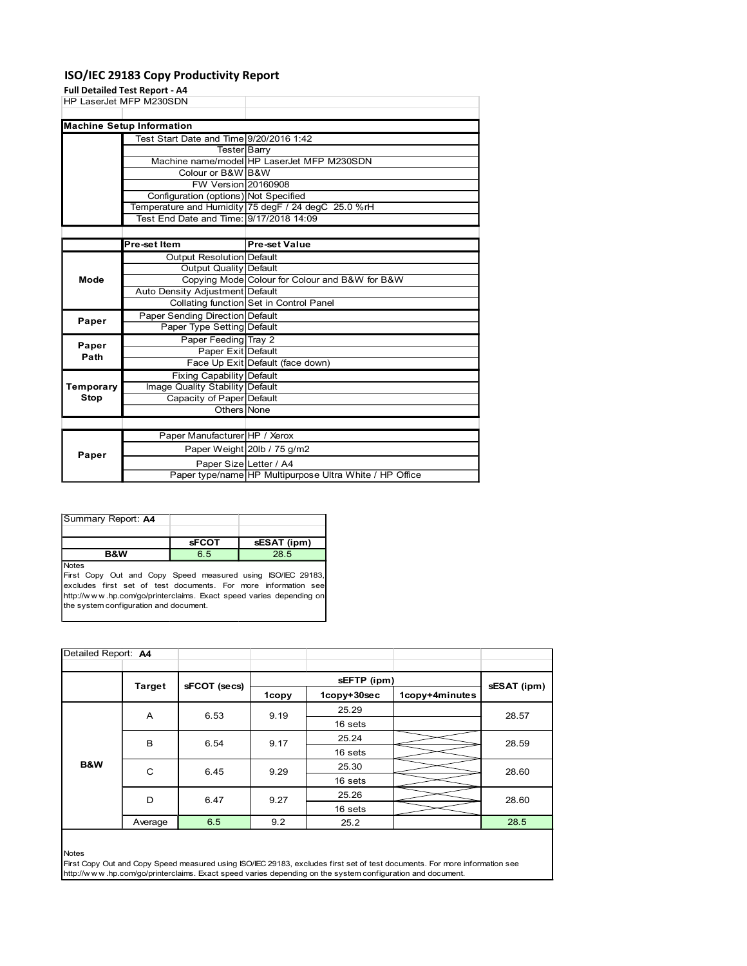## ISO/IEC 29183 Copy Productivity Report

#### Full Detailed Test Report - A4

|                                                                  |              | ISO/IEC 29183 Copy Productivity Report                            |                                                                                                |  |  |
|------------------------------------------------------------------|--------------|-------------------------------------------------------------------|------------------------------------------------------------------------------------------------|--|--|
| <b>Full Detailed Test Report - A4</b><br>HP LaserJet MFP M230SDN |              |                                                                   |                                                                                                |  |  |
|                                                                  |              |                                                                   |                                                                                                |  |  |
| <b>Machine Setup Information</b>                                 |              |                                                                   |                                                                                                |  |  |
|                                                                  |              | Test Start Date and Time 9/20/2016 1:42<br>Tester Barry           |                                                                                                |  |  |
|                                                                  |              |                                                                   | Machine name/model HP LaserJet MFP M230SDN                                                     |  |  |
|                                                                  |              | Colour or B&W B&W<br>FW Version 20160908                          |                                                                                                |  |  |
|                                                                  |              | Configuration (options) Not Specified                             |                                                                                                |  |  |
|                                                                  |              |                                                                   | Temperature and Humidity 75 degF / 24 degC 25.0 %rH<br>Test End Date and Time: 9/17/2018 14:09 |  |  |
|                                                                  |              |                                                                   |                                                                                                |  |  |
|                                                                  | Pre-set Item |                                                                   | <b>Pre-set Value</b>                                                                           |  |  |
|                                                                  |              | <b>Output Resolution Default</b><br><b>Output Quality Default</b> |                                                                                                |  |  |
| Mode                                                             |              |                                                                   | Copying Mode Colour for Colour and B&W for B&W                                                 |  |  |
|                                                                  |              | Auto Density Adjustment Default                                   | Collating function Set in Control Panel                                                        |  |  |
| Paper                                                            |              | Paper Sending Direction Default                                   |                                                                                                |  |  |
|                                                                  |              | Paper Type Setting Default<br>Paper Feeding Tray 2                |                                                                                                |  |  |
| Paper<br>Path                                                    |              | Paper Exit Default                                                |                                                                                                |  |  |
|                                                                  |              |                                                                   | Face Up Exit Default (face down)                                                               |  |  |
| Temporary                                                        |              | Fixing Capability Default<br>Image Quality Stability Default      |                                                                                                |  |  |
| <b>Stop</b>                                                      |              | Capacity of Paper Default                                         |                                                                                                |  |  |
|                                                                  |              | Others None                                                       |                                                                                                |  |  |
|                                                                  |              | Paper Manufacturer HP / Xerox                                     |                                                                                                |  |  |
| Paper                                                            |              |                                                                   | Paper Weight 20lb / 75 g/m2                                                                    |  |  |
|                                                                  |              | Paper Size Letter / A4                                            | Paper type/name HP Multipurpose Ultra White / HP Office                                        |  |  |
|                                                                  |              |                                                                   |                                                                                                |  |  |
|                                                                  |              |                                                                   |                                                                                                |  |  |
| Summary Report: A4                                               |              |                                                                   |                                                                                                |  |  |
|                                                                  |              | <b>sFCOT</b>                                                      |                                                                                                |  |  |
| <b>B&amp;W</b>                                                   |              | 6.5                                                               | sESAT (ipm)<br>28.5                                                                            |  |  |
| Notes                                                            |              |                                                                   | First Copy Out and Copy Speed measured using ISO/IEC 29183,                                    |  |  |
|                                                                  |              |                                                                   | excludes first set of test documents. For more information see                                 |  |  |
|                                                                  |              |                                                                   | http://www.hp.com/go/printerclaims. Exact speed varies depending on                            |  |  |
|                                                                  |              |                                                                   |                                                                                                |  |  |
|                                                                  |              |                                                                   |                                                                                                |  |  |
| the system configuration and document.                           |              |                                                                   |                                                                                                |  |  |
| Detailed Report: A4                                              |              |                                                                   |                                                                                                |  |  |

| Summary Report: A4 |              |             |
|--------------------|--------------|-------------|
|                    |              |             |
|                    | <b>sFCOT</b> | sESAT (ipm) |
| <b>B&amp;W</b>     | 6.5          | 28.5        |
| Notes              |              |             |

|                                        |               | Fixing Capability Default                                           |             |                                                                                                            |                                                                                                                            |             |
|----------------------------------------|---------------|---------------------------------------------------------------------|-------------|------------------------------------------------------------------------------------------------------------|----------------------------------------------------------------------------------------------------------------------------|-------------|
| Temporary                              |               | Image Quality Stability Default                                     |             |                                                                                                            |                                                                                                                            |             |
| <b>Stop</b>                            |               | Capacity of Paper Default                                           |             |                                                                                                            |                                                                                                                            |             |
|                                        |               | Others None                                                         |             |                                                                                                            |                                                                                                                            |             |
|                                        |               |                                                                     |             |                                                                                                            |                                                                                                                            |             |
|                                        |               | Paper Manufacturer HP / Xerox                                       |             |                                                                                                            |                                                                                                                            |             |
| Paper                                  |               | Paper Weight 20lb / 75 g/m2                                         |             |                                                                                                            |                                                                                                                            |             |
|                                        |               | Paper Size Letter / A4                                              |             |                                                                                                            |                                                                                                                            |             |
|                                        |               |                                                                     |             | Paper type/name HP Multipurpose Ultra White / HP Office                                                    |                                                                                                                            |             |
|                                        |               |                                                                     |             |                                                                                                            |                                                                                                                            |             |
|                                        |               |                                                                     |             |                                                                                                            |                                                                                                                            |             |
| Summary Report: A4                     |               |                                                                     |             |                                                                                                            |                                                                                                                            |             |
|                                        |               |                                                                     |             |                                                                                                            |                                                                                                                            |             |
|                                        |               | <b>sFCOT</b>                                                        | sESAT (ipm) |                                                                                                            |                                                                                                                            |             |
| B&W                                    |               | 6.5                                                                 | 28.5        |                                                                                                            |                                                                                                                            |             |
| <b>Notes</b>                           |               | First Copy Out and Copy Speed measured using ISO/IEC 29183,         |             |                                                                                                            |                                                                                                                            |             |
|                                        |               | excludes first set of test documents. For more information see      |             |                                                                                                            |                                                                                                                            |             |
|                                        |               | http://www.hp.com/go/printerclaims. Exact speed varies depending on |             |                                                                                                            |                                                                                                                            |             |
| the system configuration and document. |               |                                                                     |             |                                                                                                            |                                                                                                                            |             |
|                                        |               |                                                                     |             |                                                                                                            |                                                                                                                            |             |
|                                        |               |                                                                     |             |                                                                                                            |                                                                                                                            |             |
|                                        |               |                                                                     |             |                                                                                                            |                                                                                                                            |             |
|                                        |               |                                                                     |             |                                                                                                            |                                                                                                                            |             |
| Detailed Report: A4                    |               |                                                                     |             |                                                                                                            |                                                                                                                            |             |
|                                        |               |                                                                     |             |                                                                                                            |                                                                                                                            |             |
|                                        |               |                                                                     |             | sEFTP (ipm)                                                                                                |                                                                                                                            |             |
|                                        | <b>Target</b> | sFCOT (secs)                                                        | 1copy       | 1copy+30sec                                                                                                | 1copy+4minutes                                                                                                             | sESAT (ipm) |
|                                        |               |                                                                     |             | 25.29                                                                                                      |                                                                                                                            |             |
|                                        | A             | 6.53                                                                | 9.19        | 16 sets                                                                                                    |                                                                                                                            | 28.57       |
|                                        |               |                                                                     |             |                                                                                                            |                                                                                                                            |             |
|                                        | В             | 6.54                                                                | 9.17        | 25.24                                                                                                      |                                                                                                                            | 28.59       |
|                                        |               |                                                                     |             | 16 sets                                                                                                    |                                                                                                                            |             |
| B&W                                    | $\mathbf C$   | 6.45                                                                | 9.29        | 25.30                                                                                                      |                                                                                                                            | 28.60       |
|                                        |               |                                                                     |             | 16 sets                                                                                                    |                                                                                                                            |             |
|                                        | D             | 6.47                                                                | 9.27        | 25.26                                                                                                      |                                                                                                                            | 28.60       |
|                                        |               |                                                                     |             | 16 sets                                                                                                    |                                                                                                                            |             |
|                                        | Average       | 6.5                                                                 | 9.2         | 25.2                                                                                                       |                                                                                                                            | 28.5        |
|                                        |               |                                                                     |             |                                                                                                            |                                                                                                                            |             |
|                                        |               |                                                                     |             |                                                                                                            |                                                                                                                            |             |
| <b>Notes</b>                           |               |                                                                     |             |                                                                                                            |                                                                                                                            |             |
|                                        |               |                                                                     |             |                                                                                                            | First Copy Out and Copy Speed measured using ISO/IEC 29183, excludes first set of test documents. For more information see |             |
|                                        |               |                                                                     |             | http://www.hp.com/go/printerclaims. Exact speed varies depending on the system configuration and document. |                                                                                                                            |             |
|                                        |               |                                                                     |             |                                                                                                            |                                                                                                                            |             |
|                                        |               |                                                                     |             |                                                                                                            |                                                                                                                            |             |
|                                        |               |                                                                     |             |                                                                                                            |                                                                                                                            |             |
|                                        |               |                                                                     |             |                                                                                                            |                                                                                                                            |             |
|                                        |               |                                                                     |             |                                                                                                            |                                                                                                                            |             |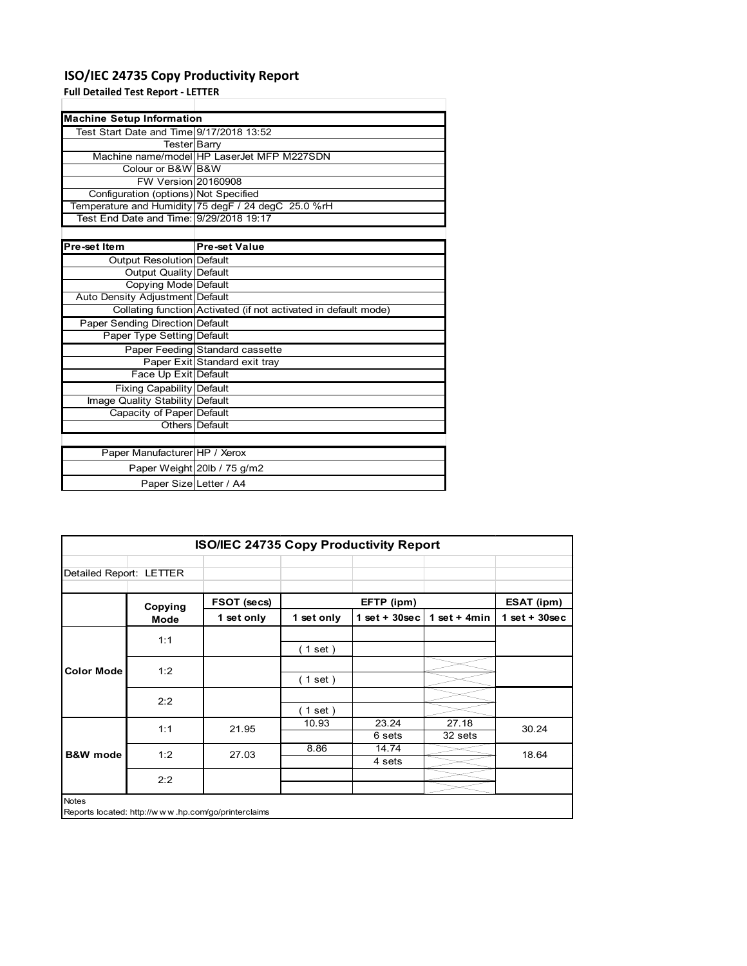## **ISO/IEC 24735 Copy Productivity Report**

### **Full Detailed Test Report ‐ LETTER**

| <b>Machine Setup Information</b>         |                                                                 |
|------------------------------------------|-----------------------------------------------------------------|
| Test Start Date and Time 9/17/2018 13:52 |                                                                 |
| <b>Tester</b> Barry                      |                                                                 |
|                                          | Machine name/model HP LaserJet MFP M227SDN                      |
| Colour or B&W B&W                        |                                                                 |
| <b>FW Version 20160908</b>               |                                                                 |
| Configuration (options) Not Specified    |                                                                 |
|                                          | Temperature and Humidity 75 degF / 24 degC 25.0 %rH             |
| Test End Date and Time: 9/29/2018 19:17  |                                                                 |
|                                          |                                                                 |
| Pre-set Item                             | <b>Pre-set Value</b>                                            |
| <b>Output Resolution Default</b>         |                                                                 |
| Output Quality Default                   |                                                                 |
| <b>Copying Mode Default</b>              |                                                                 |
| Auto Density Adjustment Default          |                                                                 |
|                                          | Collating function Activated (if not activated in default mode) |
| Paper Sending Direction Default          |                                                                 |
| Paper Type Setting Default               |                                                                 |
|                                          | Paper Feeding Standard cassette                                 |
|                                          | Paper Exit Standard exit tray                                   |
| Face Up Exit Default                     |                                                                 |
| <b>Fixing Capability Default</b>         |                                                                 |
| Image Quality Stability Default          |                                                                 |
| Capacity of Paper Default                |                                                                 |
|                                          | Others Default                                                  |
|                                          |                                                                 |
| Paper Manufacturer HP / Xerox            |                                                                 |
|                                          | Paper Weight 20lb / 75 g/m2                                     |
| Paper Size Letter / A4                   |                                                                 |

|                         |                                                     | <b>ISO/IEC 24735 Copy Productivity Report</b> |            |                  |                  |                 |
|-------------------------|-----------------------------------------------------|-----------------------------------------------|------------|------------------|------------------|-----------------|
| Detailed Report: LETTER |                                                     |                                               |            |                  |                  |                 |
|                         | Copying                                             | FSOT (secs)                                   |            | EFTP (ipm)       |                  | ESAT (ipm)      |
|                         | Mode                                                | 1 set only                                    | 1 set only | 1 set + $30$ sec | 1 set + $4min$   | $1$ set + 30sec |
|                         | 1:1                                                 |                                               | (1 set)    |                  |                  |                 |
| <b>Color Mode</b>       | 1:2                                                 |                                               | (1 set)    |                  |                  |                 |
|                         | 2:2                                                 |                                               | (1 set )   |                  |                  |                 |
|                         | 1:1                                                 | 21.95                                         | 10.93      | 23.24<br>6 sets  | 27.18<br>32 sets | 30.24           |
| <b>B&amp;W</b> mode     | 1:2                                                 | 27.03                                         | 8.86       | 14.74<br>4 sets  |                  | 18.64           |
|                         | 2:2                                                 |                                               |            |                  |                  |                 |
| <b>Notes</b>            | Reports located: http://www.hp.com/go/printerclaims |                                               |            |                  |                  |                 |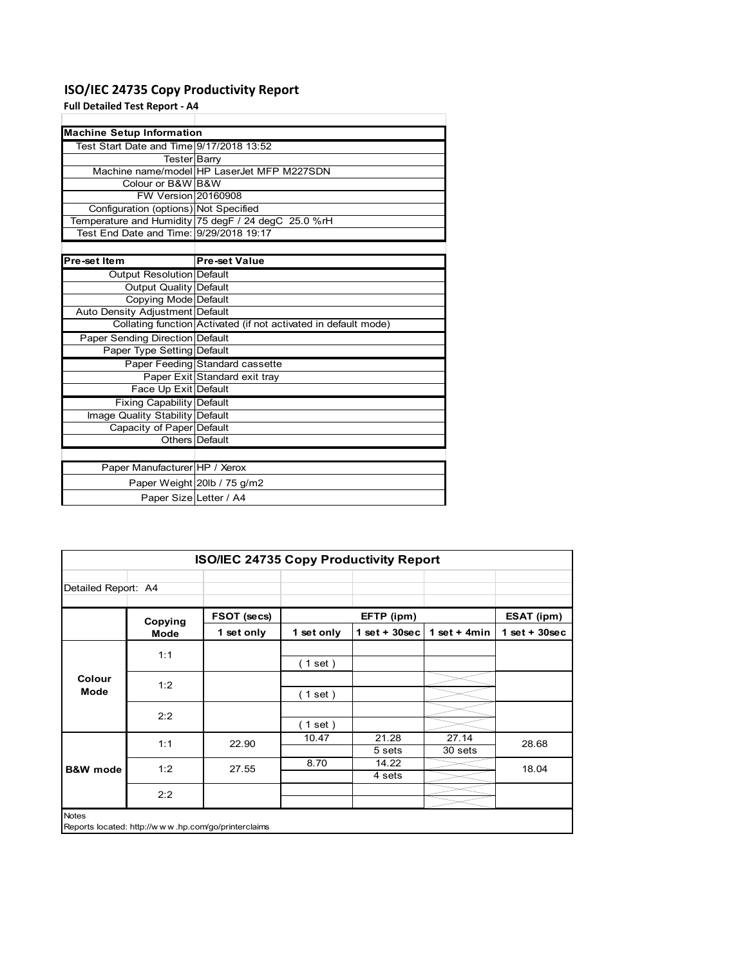## **ISO/IEC 24735 Copy Productivity Report**

## **Full Detailed Test Report ‐ A4**

| <b>Machine Setup Information</b>         |                                                                 |
|------------------------------------------|-----------------------------------------------------------------|
| Test Start Date and Time 9/17/2018 13:52 |                                                                 |
| Tester Barry                             |                                                                 |
|                                          | Machine name/model HP LaserJet MFP M227SDN                      |
| Colour or B&W B&W                        |                                                                 |
| <b>FW Version 20160908</b>               |                                                                 |
| Configuration (options) Not Specified    |                                                                 |
|                                          | Temperature and Humidity 75 degF / 24 degC 25.0 %rH             |
| Test End Date and Time: 9/29/2018 19:17  |                                                                 |
|                                          |                                                                 |
| Pre-set Item                             | <b>Pre-set Value</b>                                            |
| <b>Output Resolution Default</b>         |                                                                 |
| Output Quality Default                   |                                                                 |
| <b>Copying Mode Default</b>              |                                                                 |
| Auto Density Adjustment Default          |                                                                 |
|                                          | Collating function Activated (if not activated in default mode) |
| <b>Paper Sending Direction Default</b>   |                                                                 |
| Paper Type Setting Default               |                                                                 |
|                                          | Paper Feeding Standard cassette                                 |
|                                          | Paper Exit Standard exit tray                                   |
| Face Up Exit Default                     |                                                                 |
| <b>Fixing Capability Default</b>         |                                                                 |
| Image Quality Stability Default          |                                                                 |
| Capacity of Paper Default                |                                                                 |
|                                          | Others Default                                                  |
|                                          |                                                                 |
| Paper Manufacturer HP / Xerox            |                                                                 |
|                                          | Paper Weight 20lb / 75 g/m2                                     |
| Paper Size Letter / A4                   |                                                                 |

|                     |                                                     | <b>ISO/IEC 24735 Copy Productivity Report</b> |            |                  |                  |                 |
|---------------------|-----------------------------------------------------|-----------------------------------------------|------------|------------------|------------------|-----------------|
| Detailed Report: A4 |                                                     |                                               |            |                  |                  |                 |
|                     | Copying                                             | FSOT (secs)                                   |            | EFTP (ipm)       |                  | ESAT (ipm)      |
|                     | Mode                                                | 1 set only                                    | 1 set only | 1 set + $30$ sec | 1 set $+$ 4 min  | $1$ set + 30sec |
|                     | 1:1                                                 |                                               | (1 set)    |                  |                  |                 |
| Colour<br>Mode      | 1:2                                                 |                                               | (1 set)    |                  |                  |                 |
|                     | 2:2                                                 |                                               | (1 set)    |                  |                  |                 |
|                     | 1:1                                                 | 22.90                                         | 10.47      | 21.28<br>5 sets  | 27.14<br>30 sets | 28.68           |
| <b>B&amp;W</b> mode | 1:2                                                 | 27.55                                         | 8.70       | 14.22<br>4 sets  |                  | 18.04           |
|                     | 2:2                                                 |                                               |            |                  |                  |                 |
| <b>Notes</b>        | Reports located: http://www.hp.com/go/printerclaims |                                               |            |                  |                  |                 |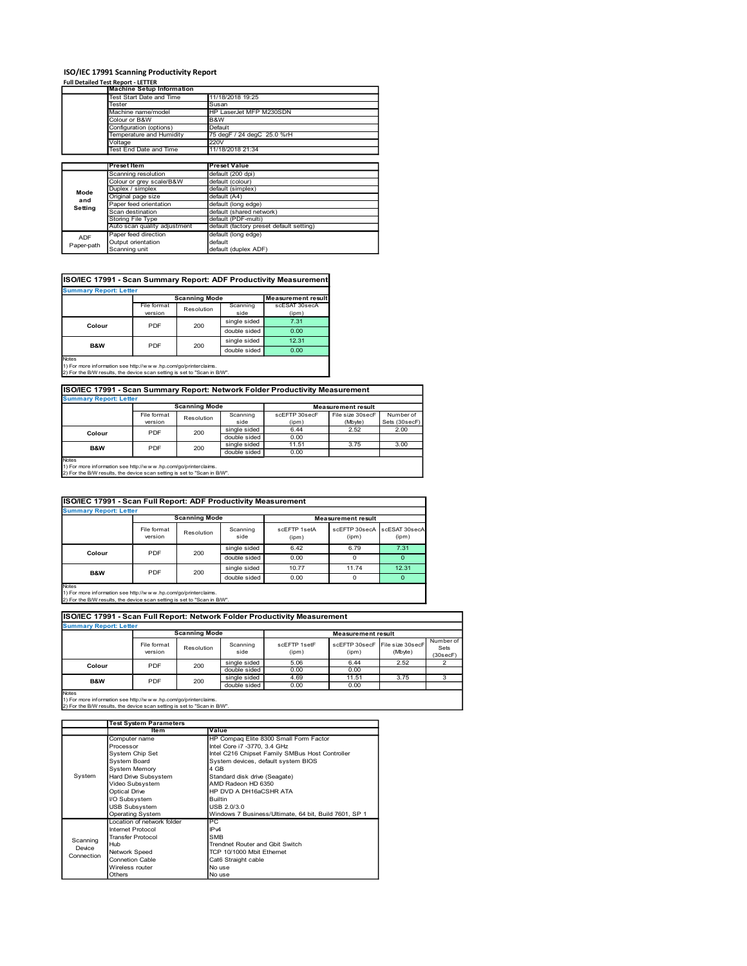# **ISO/IEC 17991 Scanning Productivity Report**<br>**Full Detailed Test Report - LETTER**

| ISO/IEC 17991 Scanning Productivity Report<br><b>Full Detailed Test Report - LETTER</b><br><b>Machine Setup Information</b><br>11/18/2018 19:25<br>Test Start Date and Time<br>Tester<br>Susan<br>Machine name/model<br>HP LaserJet MFP M230SDN<br>Colour or B&W<br>B&W<br>Configuration (options)<br>Default<br>Temperature and Humidity<br>75 degF / 24 degC 25.0 %rH<br>220V<br>Voltage<br>11/18/2018 21:34<br>Test End Date and Time<br><b>Preset Value</b><br>Preset Item<br>default (200 dpi)<br>Scanning resolution<br>Colour or grey scale/B&W<br>default (colour)<br>Duplex / simplex<br>default (simplex)<br>Mode<br>Original page size<br>default (A4)<br>and<br>Paper feed orientation<br>default (long edge)<br>Setting<br>Scan destination<br>default (shared network)<br>Storing File Type<br>default (PDF-multi)<br>Auto scan quality adjustment<br>default (factory preset default setting)<br>Paper feed direction<br>default (long edge)<br>ADF<br>Output orientation<br>default<br>Paper-path<br>Scanning unit<br>default (duplex ADF)<br>ISO/IEC 17991 - Scan Summary Report: ADF Productivity Measurement<br><b>Summary Report: Letter</b><br><b>Scanning Mode</b><br><b>Measurement result</b><br>File format<br>Scanning<br>scESAT 30secA<br>Resolution<br>version<br>side<br>(ipm)<br>single sided<br>7.31<br>Colour<br>PDF<br>200<br>double sided<br>0.00<br>12.31<br>single sided<br>PDF<br>200<br>B&W<br>double sided<br>0.00<br>1) For more information see http://www.hp.com/go/printerclaims.<br>2) For the B/W results, the device scan setting is set to "Scan in B/W".<br>ISO/IEC 17991 - Scan Summary Report: Network Folder Productivity Measurement<br><b>Summary Report: Letter</b><br><b>Scanning Mode</b><br><b>Measurement result</b><br>File format<br>Scanning<br>scEFTP 30secF<br>File size 30secF<br>Number of<br>Resolution<br>version<br>Sets (30secF)<br>side<br>(Mbyte)<br>(ipm)<br>single sided<br>6.44<br>2.52<br>2.00<br>PDF<br>200<br>Colour<br>0.00<br>double sided<br>3.75<br>3.00<br>single sided<br>11.51<br>B&W<br>200<br>PDF<br>double sided<br>0.00<br>1) For more information see http://www.hp.com/go/printerclaims.<br>2) For the B/W results, the device scan setting is set to "Scan in B/W".<br>ISO/IEC 17991 - Scan Full Report: ADF Productivity Measurement<br><b>Summary Report: Letter</b><br><b>Scanning Mode</b><br><b>Measurement result</b><br>scEFTP 1setA<br>scEFTP 30secA<br>scESAT 30secA<br>File format<br>Scanning<br>Resolution<br>version<br>side<br>(ipm)<br>(ipm)<br>(ipm) |       |  |  |  |  |
|-----------------------------------------------------------------------------------------------------------------------------------------------------------------------------------------------------------------------------------------------------------------------------------------------------------------------------------------------------------------------------------------------------------------------------------------------------------------------------------------------------------------------------------------------------------------------------------------------------------------------------------------------------------------------------------------------------------------------------------------------------------------------------------------------------------------------------------------------------------------------------------------------------------------------------------------------------------------------------------------------------------------------------------------------------------------------------------------------------------------------------------------------------------------------------------------------------------------------------------------------------------------------------------------------------------------------------------------------------------------------------------------------------------------------------------------------------------------------------------------------------------------------------------------------------------------------------------------------------------------------------------------------------------------------------------------------------------------------------------------------------------------------------------------------------------------------------------------------------------------------------------------------------------------------------------------------------------------------------------------------------------------------------------------------------------------------------------------------------------------------------------------------------------------------------------------------------------------------------------------------------------------------------------------------------------------------------------------------------------------------------------------------------------------------------------------------------------------------------------------------------------------------------------------------------------------|-------|--|--|--|--|
|                                                                                                                                                                                                                                                                                                                                                                                                                                                                                                                                                                                                                                                                                                                                                                                                                                                                                                                                                                                                                                                                                                                                                                                                                                                                                                                                                                                                                                                                                                                                                                                                                                                                                                                                                                                                                                                                                                                                                                                                                                                                                                                                                                                                                                                                                                                                                                                                                                                                                                                                                                 |       |  |  |  |  |
|                                                                                                                                                                                                                                                                                                                                                                                                                                                                                                                                                                                                                                                                                                                                                                                                                                                                                                                                                                                                                                                                                                                                                                                                                                                                                                                                                                                                                                                                                                                                                                                                                                                                                                                                                                                                                                                                                                                                                                                                                                                                                                                                                                                                                                                                                                                                                                                                                                                                                                                                                                 |       |  |  |  |  |
|                                                                                                                                                                                                                                                                                                                                                                                                                                                                                                                                                                                                                                                                                                                                                                                                                                                                                                                                                                                                                                                                                                                                                                                                                                                                                                                                                                                                                                                                                                                                                                                                                                                                                                                                                                                                                                                                                                                                                                                                                                                                                                                                                                                                                                                                                                                                                                                                                                                                                                                                                                 |       |  |  |  |  |
|                                                                                                                                                                                                                                                                                                                                                                                                                                                                                                                                                                                                                                                                                                                                                                                                                                                                                                                                                                                                                                                                                                                                                                                                                                                                                                                                                                                                                                                                                                                                                                                                                                                                                                                                                                                                                                                                                                                                                                                                                                                                                                                                                                                                                                                                                                                                                                                                                                                                                                                                                                 |       |  |  |  |  |
|                                                                                                                                                                                                                                                                                                                                                                                                                                                                                                                                                                                                                                                                                                                                                                                                                                                                                                                                                                                                                                                                                                                                                                                                                                                                                                                                                                                                                                                                                                                                                                                                                                                                                                                                                                                                                                                                                                                                                                                                                                                                                                                                                                                                                                                                                                                                                                                                                                                                                                                                                                 |       |  |  |  |  |
|                                                                                                                                                                                                                                                                                                                                                                                                                                                                                                                                                                                                                                                                                                                                                                                                                                                                                                                                                                                                                                                                                                                                                                                                                                                                                                                                                                                                                                                                                                                                                                                                                                                                                                                                                                                                                                                                                                                                                                                                                                                                                                                                                                                                                                                                                                                                                                                                                                                                                                                                                                 |       |  |  |  |  |
|                                                                                                                                                                                                                                                                                                                                                                                                                                                                                                                                                                                                                                                                                                                                                                                                                                                                                                                                                                                                                                                                                                                                                                                                                                                                                                                                                                                                                                                                                                                                                                                                                                                                                                                                                                                                                                                                                                                                                                                                                                                                                                                                                                                                                                                                                                                                                                                                                                                                                                                                                                 |       |  |  |  |  |
|                                                                                                                                                                                                                                                                                                                                                                                                                                                                                                                                                                                                                                                                                                                                                                                                                                                                                                                                                                                                                                                                                                                                                                                                                                                                                                                                                                                                                                                                                                                                                                                                                                                                                                                                                                                                                                                                                                                                                                                                                                                                                                                                                                                                                                                                                                                                                                                                                                                                                                                                                                 |       |  |  |  |  |
|                                                                                                                                                                                                                                                                                                                                                                                                                                                                                                                                                                                                                                                                                                                                                                                                                                                                                                                                                                                                                                                                                                                                                                                                                                                                                                                                                                                                                                                                                                                                                                                                                                                                                                                                                                                                                                                                                                                                                                                                                                                                                                                                                                                                                                                                                                                                                                                                                                                                                                                                                                 |       |  |  |  |  |
|                                                                                                                                                                                                                                                                                                                                                                                                                                                                                                                                                                                                                                                                                                                                                                                                                                                                                                                                                                                                                                                                                                                                                                                                                                                                                                                                                                                                                                                                                                                                                                                                                                                                                                                                                                                                                                                                                                                                                                                                                                                                                                                                                                                                                                                                                                                                                                                                                                                                                                                                                                 |       |  |  |  |  |
|                                                                                                                                                                                                                                                                                                                                                                                                                                                                                                                                                                                                                                                                                                                                                                                                                                                                                                                                                                                                                                                                                                                                                                                                                                                                                                                                                                                                                                                                                                                                                                                                                                                                                                                                                                                                                                                                                                                                                                                                                                                                                                                                                                                                                                                                                                                                                                                                                                                                                                                                                                 |       |  |  |  |  |
|                                                                                                                                                                                                                                                                                                                                                                                                                                                                                                                                                                                                                                                                                                                                                                                                                                                                                                                                                                                                                                                                                                                                                                                                                                                                                                                                                                                                                                                                                                                                                                                                                                                                                                                                                                                                                                                                                                                                                                                                                                                                                                                                                                                                                                                                                                                                                                                                                                                                                                                                                                 |       |  |  |  |  |
|                                                                                                                                                                                                                                                                                                                                                                                                                                                                                                                                                                                                                                                                                                                                                                                                                                                                                                                                                                                                                                                                                                                                                                                                                                                                                                                                                                                                                                                                                                                                                                                                                                                                                                                                                                                                                                                                                                                                                                                                                                                                                                                                                                                                                                                                                                                                                                                                                                                                                                                                                                 |       |  |  |  |  |
|                                                                                                                                                                                                                                                                                                                                                                                                                                                                                                                                                                                                                                                                                                                                                                                                                                                                                                                                                                                                                                                                                                                                                                                                                                                                                                                                                                                                                                                                                                                                                                                                                                                                                                                                                                                                                                                                                                                                                                                                                                                                                                                                                                                                                                                                                                                                                                                                                                                                                                                                                                 |       |  |  |  |  |
|                                                                                                                                                                                                                                                                                                                                                                                                                                                                                                                                                                                                                                                                                                                                                                                                                                                                                                                                                                                                                                                                                                                                                                                                                                                                                                                                                                                                                                                                                                                                                                                                                                                                                                                                                                                                                                                                                                                                                                                                                                                                                                                                                                                                                                                                                                                                                                                                                                                                                                                                                                 |       |  |  |  |  |
|                                                                                                                                                                                                                                                                                                                                                                                                                                                                                                                                                                                                                                                                                                                                                                                                                                                                                                                                                                                                                                                                                                                                                                                                                                                                                                                                                                                                                                                                                                                                                                                                                                                                                                                                                                                                                                                                                                                                                                                                                                                                                                                                                                                                                                                                                                                                                                                                                                                                                                                                                                 |       |  |  |  |  |
|                                                                                                                                                                                                                                                                                                                                                                                                                                                                                                                                                                                                                                                                                                                                                                                                                                                                                                                                                                                                                                                                                                                                                                                                                                                                                                                                                                                                                                                                                                                                                                                                                                                                                                                                                                                                                                                                                                                                                                                                                                                                                                                                                                                                                                                                                                                                                                                                                                                                                                                                                                 |       |  |  |  |  |
|                                                                                                                                                                                                                                                                                                                                                                                                                                                                                                                                                                                                                                                                                                                                                                                                                                                                                                                                                                                                                                                                                                                                                                                                                                                                                                                                                                                                                                                                                                                                                                                                                                                                                                                                                                                                                                                                                                                                                                                                                                                                                                                                                                                                                                                                                                                                                                                                                                                                                                                                                                 |       |  |  |  |  |
|                                                                                                                                                                                                                                                                                                                                                                                                                                                                                                                                                                                                                                                                                                                                                                                                                                                                                                                                                                                                                                                                                                                                                                                                                                                                                                                                                                                                                                                                                                                                                                                                                                                                                                                                                                                                                                                                                                                                                                                                                                                                                                                                                                                                                                                                                                                                                                                                                                                                                                                                                                 |       |  |  |  |  |
|                                                                                                                                                                                                                                                                                                                                                                                                                                                                                                                                                                                                                                                                                                                                                                                                                                                                                                                                                                                                                                                                                                                                                                                                                                                                                                                                                                                                                                                                                                                                                                                                                                                                                                                                                                                                                                                                                                                                                                                                                                                                                                                                                                                                                                                                                                                                                                                                                                                                                                                                                                 |       |  |  |  |  |
|                                                                                                                                                                                                                                                                                                                                                                                                                                                                                                                                                                                                                                                                                                                                                                                                                                                                                                                                                                                                                                                                                                                                                                                                                                                                                                                                                                                                                                                                                                                                                                                                                                                                                                                                                                                                                                                                                                                                                                                                                                                                                                                                                                                                                                                                                                                                                                                                                                                                                                                                                                 |       |  |  |  |  |
|                                                                                                                                                                                                                                                                                                                                                                                                                                                                                                                                                                                                                                                                                                                                                                                                                                                                                                                                                                                                                                                                                                                                                                                                                                                                                                                                                                                                                                                                                                                                                                                                                                                                                                                                                                                                                                                                                                                                                                                                                                                                                                                                                                                                                                                                                                                                                                                                                                                                                                                                                                 |       |  |  |  |  |
|                                                                                                                                                                                                                                                                                                                                                                                                                                                                                                                                                                                                                                                                                                                                                                                                                                                                                                                                                                                                                                                                                                                                                                                                                                                                                                                                                                                                                                                                                                                                                                                                                                                                                                                                                                                                                                                                                                                                                                                                                                                                                                                                                                                                                                                                                                                                                                                                                                                                                                                                                                 |       |  |  |  |  |
|                                                                                                                                                                                                                                                                                                                                                                                                                                                                                                                                                                                                                                                                                                                                                                                                                                                                                                                                                                                                                                                                                                                                                                                                                                                                                                                                                                                                                                                                                                                                                                                                                                                                                                                                                                                                                                                                                                                                                                                                                                                                                                                                                                                                                                                                                                                                                                                                                                                                                                                                                                 |       |  |  |  |  |
|                                                                                                                                                                                                                                                                                                                                                                                                                                                                                                                                                                                                                                                                                                                                                                                                                                                                                                                                                                                                                                                                                                                                                                                                                                                                                                                                                                                                                                                                                                                                                                                                                                                                                                                                                                                                                                                                                                                                                                                                                                                                                                                                                                                                                                                                                                                                                                                                                                                                                                                                                                 |       |  |  |  |  |
|                                                                                                                                                                                                                                                                                                                                                                                                                                                                                                                                                                                                                                                                                                                                                                                                                                                                                                                                                                                                                                                                                                                                                                                                                                                                                                                                                                                                                                                                                                                                                                                                                                                                                                                                                                                                                                                                                                                                                                                                                                                                                                                                                                                                                                                                                                                                                                                                                                                                                                                                                                 |       |  |  |  |  |
|                                                                                                                                                                                                                                                                                                                                                                                                                                                                                                                                                                                                                                                                                                                                                                                                                                                                                                                                                                                                                                                                                                                                                                                                                                                                                                                                                                                                                                                                                                                                                                                                                                                                                                                                                                                                                                                                                                                                                                                                                                                                                                                                                                                                                                                                                                                                                                                                                                                                                                                                                                 |       |  |  |  |  |
|                                                                                                                                                                                                                                                                                                                                                                                                                                                                                                                                                                                                                                                                                                                                                                                                                                                                                                                                                                                                                                                                                                                                                                                                                                                                                                                                                                                                                                                                                                                                                                                                                                                                                                                                                                                                                                                                                                                                                                                                                                                                                                                                                                                                                                                                                                                                                                                                                                                                                                                                                                 |       |  |  |  |  |
|                                                                                                                                                                                                                                                                                                                                                                                                                                                                                                                                                                                                                                                                                                                                                                                                                                                                                                                                                                                                                                                                                                                                                                                                                                                                                                                                                                                                                                                                                                                                                                                                                                                                                                                                                                                                                                                                                                                                                                                                                                                                                                                                                                                                                                                                                                                                                                                                                                                                                                                                                                 |       |  |  |  |  |
|                                                                                                                                                                                                                                                                                                                                                                                                                                                                                                                                                                                                                                                                                                                                                                                                                                                                                                                                                                                                                                                                                                                                                                                                                                                                                                                                                                                                                                                                                                                                                                                                                                                                                                                                                                                                                                                                                                                                                                                                                                                                                                                                                                                                                                                                                                                                                                                                                                                                                                                                                                 | Notes |  |  |  |  |
|                                                                                                                                                                                                                                                                                                                                                                                                                                                                                                                                                                                                                                                                                                                                                                                                                                                                                                                                                                                                                                                                                                                                                                                                                                                                                                                                                                                                                                                                                                                                                                                                                                                                                                                                                                                                                                                                                                                                                                                                                                                                                                                                                                                                                                                                                                                                                                                                                                                                                                                                                                 |       |  |  |  |  |
|                                                                                                                                                                                                                                                                                                                                                                                                                                                                                                                                                                                                                                                                                                                                                                                                                                                                                                                                                                                                                                                                                                                                                                                                                                                                                                                                                                                                                                                                                                                                                                                                                                                                                                                                                                                                                                                                                                                                                                                                                                                                                                                                                                                                                                                                                                                                                                                                                                                                                                                                                                 |       |  |  |  |  |
|                                                                                                                                                                                                                                                                                                                                                                                                                                                                                                                                                                                                                                                                                                                                                                                                                                                                                                                                                                                                                                                                                                                                                                                                                                                                                                                                                                                                                                                                                                                                                                                                                                                                                                                                                                                                                                                                                                                                                                                                                                                                                                                                                                                                                                                                                                                                                                                                                                                                                                                                                                 |       |  |  |  |  |
|                                                                                                                                                                                                                                                                                                                                                                                                                                                                                                                                                                                                                                                                                                                                                                                                                                                                                                                                                                                                                                                                                                                                                                                                                                                                                                                                                                                                                                                                                                                                                                                                                                                                                                                                                                                                                                                                                                                                                                                                                                                                                                                                                                                                                                                                                                                                                                                                                                                                                                                                                                 |       |  |  |  |  |
|                                                                                                                                                                                                                                                                                                                                                                                                                                                                                                                                                                                                                                                                                                                                                                                                                                                                                                                                                                                                                                                                                                                                                                                                                                                                                                                                                                                                                                                                                                                                                                                                                                                                                                                                                                                                                                                                                                                                                                                                                                                                                                                                                                                                                                                                                                                                                                                                                                                                                                                                                                 |       |  |  |  |  |
|                                                                                                                                                                                                                                                                                                                                                                                                                                                                                                                                                                                                                                                                                                                                                                                                                                                                                                                                                                                                                                                                                                                                                                                                                                                                                                                                                                                                                                                                                                                                                                                                                                                                                                                                                                                                                                                                                                                                                                                                                                                                                                                                                                                                                                                                                                                                                                                                                                                                                                                                                                 |       |  |  |  |  |
|                                                                                                                                                                                                                                                                                                                                                                                                                                                                                                                                                                                                                                                                                                                                                                                                                                                                                                                                                                                                                                                                                                                                                                                                                                                                                                                                                                                                                                                                                                                                                                                                                                                                                                                                                                                                                                                                                                                                                                                                                                                                                                                                                                                                                                                                                                                                                                                                                                                                                                                                                                 | Notes |  |  |  |  |
|                                                                                                                                                                                                                                                                                                                                                                                                                                                                                                                                                                                                                                                                                                                                                                                                                                                                                                                                                                                                                                                                                                                                                                                                                                                                                                                                                                                                                                                                                                                                                                                                                                                                                                                                                                                                                                                                                                                                                                                                                                                                                                                                                                                                                                                                                                                                                                                                                                                                                                                                                                 |       |  |  |  |  |
|                                                                                                                                                                                                                                                                                                                                                                                                                                                                                                                                                                                                                                                                                                                                                                                                                                                                                                                                                                                                                                                                                                                                                                                                                                                                                                                                                                                                                                                                                                                                                                                                                                                                                                                                                                                                                                                                                                                                                                                                                                                                                                                                                                                                                                                                                                                                                                                                                                                                                                                                                                 |       |  |  |  |  |
|                                                                                                                                                                                                                                                                                                                                                                                                                                                                                                                                                                                                                                                                                                                                                                                                                                                                                                                                                                                                                                                                                                                                                                                                                                                                                                                                                                                                                                                                                                                                                                                                                                                                                                                                                                                                                                                                                                                                                                                                                                                                                                                                                                                                                                                                                                                                                                                                                                                                                                                                                                 |       |  |  |  |  |

| поскит пона саас <i>т</i><br>Setting                                     |  |
|--------------------------------------------------------------------------|--|
| Scan destination<br>default (shared network)                             |  |
| Storing File Type<br>default (PDF-multi)                                 |  |
| default (factory preset default setting)<br>Auto scan quality adjustment |  |
| Paper feed direction<br>default (long edge)<br>ADF                       |  |
| Output orientation<br>default<br>Paper-path                              |  |
| default (duplex ADF)<br>Scanning unit                                    |  |
|                                                                          |  |

### ISO/IEC 17991 - Scan Summary Report: ADF Productivity Measurement

| <b>Summary Report: Letter</b><br><b>Scanning Mode</b> |             |                           |              |               |  |  |  |  |
|-------------------------------------------------------|-------------|---------------------------|--------------|---------------|--|--|--|--|
|                                                       |             | <b>Measurement result</b> |              |               |  |  |  |  |
|                                                       | File format | Resolution                | Scanning     | scESAT 30secA |  |  |  |  |
|                                                       | version     |                           | side         | (ipm)         |  |  |  |  |
| Colour                                                | <b>PDF</b>  | 200                       | single sided | 7.31          |  |  |  |  |
|                                                       |             |                           | double sided | 0.00          |  |  |  |  |
| B&W                                                   | <b>PDF</b>  | 200                       | single sided | 12.31         |  |  |  |  |
|                                                       |             |                           | double sided | 0.00          |  |  |  |  |
| <b>Notes</b>                                          |             |                           |              |               |  |  |  |  |

|                                                                          |                                            | Machine name/model<br>HP LaserJet MFP M230SDN     |                      |                                                                |                                                                              |                           |               |  |  |  |
|--------------------------------------------------------------------------|--------------------------------------------|---------------------------------------------------|----------------------|----------------------------------------------------------------|------------------------------------------------------------------------------|---------------------------|---------------|--|--|--|
|                                                                          | Colour or B&W                              |                                                   |                      | B&W<br>Default                                                 |                                                                              |                           |               |  |  |  |
|                                                                          |                                            | Configuration (options)                           |                      |                                                                |                                                                              |                           |               |  |  |  |
|                                                                          |                                            | Temperature and Humidity                          |                      | 75 degF / 24 degC 25.0 %rH                                     |                                                                              |                           |               |  |  |  |
|                                                                          | Voltage                                    |                                                   | 220V                 |                                                                |                                                                              |                           |               |  |  |  |
|                                                                          | Test End Date and Time<br>11/18/2018 21:34 |                                                   |                      |                                                                |                                                                              |                           |               |  |  |  |
|                                                                          |                                            |                                                   |                      |                                                                |                                                                              |                           |               |  |  |  |
|                                                                          | <b>Preset Item</b>                         |                                                   |                      | Preset Value                                                   |                                                                              |                           |               |  |  |  |
|                                                                          |                                            | Scanning resolution                               |                      | default (200 dpi)                                              |                                                                              |                           |               |  |  |  |
|                                                                          |                                            | Colour or grey scale/B&W                          |                      | default (colour)                                               |                                                                              |                           |               |  |  |  |
| Mode                                                                     | Duplex / simplex                           |                                                   |                      | default (simplex)                                              |                                                                              |                           |               |  |  |  |
| and                                                                      |                                            | Original page size                                |                      | default (A4)                                                   |                                                                              |                           |               |  |  |  |
| Setting                                                                  |                                            | Paper feed orientation                            |                      | default (long edge)                                            |                                                                              |                           |               |  |  |  |
|                                                                          | Scan destination                           |                                                   |                      | default (shared network)                                       |                                                                              |                           |               |  |  |  |
|                                                                          | Storing File Type                          |                                                   |                      | default (PDF-multi)                                            |                                                                              |                           |               |  |  |  |
|                                                                          |                                            | Auto scan quality adjustment                      |                      |                                                                | default (factory preset default setting)                                     |                           |               |  |  |  |
| ADF                                                                      |                                            | Paper feed direction                              |                      | default (long edge)                                            |                                                                              |                           |               |  |  |  |
| Paper-path                                                               |                                            | Output orientation                                |                      | default                                                        |                                                                              |                           |               |  |  |  |
|                                                                          | Scanning unit                              |                                                   |                      | default (duplex ADF)                                           |                                                                              |                           |               |  |  |  |
|                                                                          |                                            |                                                   |                      |                                                                |                                                                              |                           |               |  |  |  |
| <b>Summary Report: Letter</b>                                            |                                            |                                                   |                      |                                                                | ISO/IEC 17991 - Scan Summary Report: ADF Productivity Measurement            |                           |               |  |  |  |
|                                                                          |                                            |                                                   | <b>Scanning Mode</b> |                                                                | <b>Measurement result</b>                                                    |                           |               |  |  |  |
|                                                                          |                                            | File format                                       |                      | Scanning                                                       | scESAT 30secA                                                                |                           |               |  |  |  |
|                                                                          |                                            | version                                           | Resolution           | side                                                           | (ipm)                                                                        |                           |               |  |  |  |
|                                                                          |                                            |                                                   |                      | single sided                                                   | 7.31                                                                         |                           |               |  |  |  |
| Colour                                                                   |                                            | PDF                                               | 200                  | double sided                                                   | 0.00                                                                         |                           |               |  |  |  |
|                                                                          |                                            |                                                   |                      |                                                                |                                                                              |                           |               |  |  |  |
| B&W                                                                      |                                            | PDF                                               | 200                  | single sided                                                   | 12.31                                                                        |                           |               |  |  |  |
|                                                                          |                                            |                                                   |                      | double sided                                                   | 0.00                                                                         |                           |               |  |  |  |
| Notes                                                                    |                                            |                                                   |                      |                                                                |                                                                              |                           |               |  |  |  |
| 1) For more information see http://www.hp.com/go/printerclaims.          |                                            |                                                   |                      |                                                                |                                                                              |                           |               |  |  |  |
| 2) For the B/W results, the device scan setting is set to "Scan in B/W". |                                            |                                                   |                      |                                                                |                                                                              |                           |               |  |  |  |
|                                                                          |                                            |                                                   |                      |                                                                |                                                                              |                           |               |  |  |  |
|                                                                          |                                            |                                                   |                      |                                                                | ISO/IEC 17991 - Scan Summary Report: Network Folder Productivity Measurement |                           |               |  |  |  |
| <b>Summary Report: Letter</b>                                            |                                            |                                                   |                      |                                                                |                                                                              |                           |               |  |  |  |
|                                                                          |                                            |                                                   | <b>Scanning Mode</b> |                                                                |                                                                              | <b>Measurement result</b> |               |  |  |  |
|                                                                          |                                            | File format                                       | Resolution           | Scanning                                                       | scEFTP 30secF                                                                | File size 30secF          | Number of     |  |  |  |
|                                                                          |                                            | version                                           |                      | side                                                           | (ipm)                                                                        | (Mbyte)                   | Sets (30secF) |  |  |  |
| Colour                                                                   |                                            | PDF                                               | 200                  | single sided                                                   | 6.44                                                                         | 2.52                      | 2.00          |  |  |  |
|                                                                          |                                            |                                                   |                      | double sided                                                   | 0.00                                                                         |                           |               |  |  |  |
| B&W                                                                      |                                            | PDF                                               | 200                  | single sided                                                   | 11.51                                                                        | 3.75                      | 3.00          |  |  |  |
|                                                                          |                                            |                                                   |                      | double sided                                                   | 0.00                                                                         |                           |               |  |  |  |
| Notes                                                                    |                                            |                                                   |                      |                                                                |                                                                              |                           |               |  |  |  |
| 1) For more information see http://www.hp.com/go/printerclaims.          |                                            |                                                   |                      |                                                                |                                                                              |                           |               |  |  |  |
| 2) For the B/W results, the device scan setting is set to "Scan in B/W". |                                            |                                                   |                      |                                                                |                                                                              |                           |               |  |  |  |
|                                                                          |                                            |                                                   |                      |                                                                |                                                                              |                           |               |  |  |  |
|                                                                          |                                            |                                                   |                      |                                                                |                                                                              |                           |               |  |  |  |
|                                                                          |                                            |                                                   |                      | ISO/IEC 17991 - Scan Full Report: ADF Productivity Measurement |                                                                              |                           |               |  |  |  |
|                                                                          |                                            |                                                   |                      |                                                                |                                                                              |                           |               |  |  |  |
| <b>Summary Report: Letter</b>                                            |                                            |                                                   |                      |                                                                |                                                                              |                           |               |  |  |  |
|                                                                          |                                            | <b>Scanning Mode</b><br><b>Measurement result</b> |                      |                                                                |                                                                              |                           |               |  |  |  |

|                                                                          |                        | Auto scari quality adjustment |                      | deladit (lactory preset deladit setting) |                                                                              |                           |                  |
|--------------------------------------------------------------------------|------------------------|-------------------------------|----------------------|------------------------------------------|------------------------------------------------------------------------------|---------------------------|------------------|
| ADF                                                                      | Paper feed direction   |                               |                      | default (long edge)                      |                                                                              |                           |                  |
| Paper-path                                                               | Output orientation     |                               |                      | default                                  |                                                                              |                           |                  |
|                                                                          | Scanning unit          |                               |                      | default (duplex ADF)                     |                                                                              |                           |                  |
|                                                                          |                        |                               |                      |                                          |                                                                              |                           |                  |
|                                                                          |                        |                               |                      |                                          |                                                                              |                           |                  |
|                                                                          |                        |                               |                      |                                          |                                                                              |                           |                  |
|                                                                          |                        |                               |                      |                                          | ISO/IEC 17991 - Scan Summary Report: ADF Productivity Measurement            |                           |                  |
| <b>Summary Report: Letter</b>                                            |                        |                               |                      |                                          |                                                                              |                           |                  |
|                                                                          |                        |                               | <b>Scanning Mode</b> |                                          | <b>Measurement result</b>                                                    |                           |                  |
|                                                                          |                        |                               |                      |                                          |                                                                              |                           |                  |
|                                                                          |                        | File format                   | Resolution           | Scanning                                 | scESAT 30secA                                                                |                           |                  |
|                                                                          |                        | version                       |                      | side                                     | (ipm)                                                                        |                           |                  |
| Colour                                                                   |                        | PDF                           | 200                  | single sided                             | 7.31                                                                         |                           |                  |
|                                                                          |                        |                               |                      | double sided                             | 0.00                                                                         |                           |                  |
|                                                                          |                        |                               |                      |                                          |                                                                              |                           |                  |
| B&W                                                                      |                        | PDF                           | 200                  | single sided                             | 12.31                                                                        |                           |                  |
|                                                                          |                        |                               |                      | double sided                             | 0.00                                                                         |                           |                  |
| Notes                                                                    |                        |                               |                      |                                          |                                                                              |                           |                  |
| 1) For more information see http://www.hp.com/go/printerclaims.          |                        |                               |                      |                                          |                                                                              |                           |                  |
| 2) For the B/W results, the device scan setting is set to "Scan in B/W". |                        |                               |                      |                                          |                                                                              |                           |                  |
|                                                                          |                        |                               |                      |                                          |                                                                              |                           |                  |
|                                                                          |                        |                               |                      |                                          |                                                                              |                           |                  |
|                                                                          |                        |                               |                      |                                          | ISO/IEC 17991 - Scan Summary Report: Network Folder Productivity Measurement |                           |                  |
| <b>Summary Report: Letter</b>                                            |                        |                               |                      |                                          |                                                                              |                           |                  |
|                                                                          |                        |                               | <b>Scanning Mode</b> |                                          |                                                                              | <b>Measurement result</b> |                  |
|                                                                          |                        |                               |                      |                                          | scEFTP 30secF                                                                |                           |                  |
|                                                                          |                        | File format                   | Resolution           | Scanning                                 |                                                                              | File size 30secF          | Number of        |
|                                                                          |                        | version                       |                      | side                                     | (ipm)                                                                        | (Mbyte)                   | Sets (30secF)    |
| Colour                                                                   |                        | PDF                           | 200                  | single sided                             | 6.44                                                                         | 2.52                      | 2.00             |
|                                                                          |                        |                               |                      | double sided                             | 0.00                                                                         |                           |                  |
| B&W                                                                      |                        | PDF                           | 200                  | single sided                             | 11.51                                                                        | 3.75                      | 3.00             |
|                                                                          |                        |                               |                      | double sided                             | 0.00                                                                         |                           |                  |
| <b>Notes</b>                                                             |                        |                               |                      |                                          |                                                                              |                           |                  |
| 1) For more information see http://www.hp.com/go/printerclaims.          |                        |                               |                      |                                          |                                                                              |                           |                  |
|                                                                          |                        |                               |                      |                                          |                                                                              |                           |                  |
| 2) For the B/W results, the device scan setting is set to "Scan in B/W". |                        |                               |                      |                                          |                                                                              |                           |                  |
|                                                                          |                        |                               |                      |                                          |                                                                              |                           |                  |
|                                                                          |                        |                               |                      |                                          |                                                                              |                           |                  |
|                                                                          |                        |                               |                      |                                          |                                                                              |                           |                  |
|                                                                          |                        |                               |                      |                                          |                                                                              |                           |                  |
|                                                                          |                        |                               |                      |                                          |                                                                              |                           |                  |
|                                                                          |                        |                               |                      |                                          |                                                                              |                           |                  |
|                                                                          |                        |                               |                      |                                          |                                                                              |                           |                  |
|                                                                          |                        |                               |                      |                                          |                                                                              |                           |                  |
| ISO/IEC 17991 - Scan Full Report: ADF Productivity Measurement           |                        |                               |                      |                                          |                                                                              |                           |                  |
| <b>Summary Report: Letter</b>                                            |                        |                               |                      |                                          |                                                                              |                           |                  |
|                                                                          |                        |                               | <b>Scanning Mode</b> |                                          |                                                                              | <b>Measurement result</b> |                  |
|                                                                          |                        | File format                   |                      | Scanning                                 | scEFTP 1setA                                                                 | scEFTP 30secA             | scESAT 30secA    |
|                                                                          |                        | version                       | Resolution           | side                                     |                                                                              |                           | (ipm)            |
|                                                                          |                        |                               |                      |                                          | (ipm)                                                                        | (ipm)                     |                  |
|                                                                          |                        |                               |                      | single sided                             | 6.42                                                                         | 6.79                      | 7.31             |
| Colour                                                                   |                        | PDF                           | 200                  |                                          |                                                                              |                           |                  |
|                                                                          |                        |                               |                      | double sided                             | 0.00                                                                         | $\overline{\mathbf{0}}$   | $\overline{0}$   |
|                                                                          |                        |                               |                      | single sided                             | 10.77                                                                        | 11.74                     | 12.31            |
| B&W                                                                      |                        | PDF                           | 200                  |                                          |                                                                              |                           |                  |
|                                                                          |                        |                               |                      | double sided                             | 0.00                                                                         | $\mathsf 0$               | $\circ$          |
| Notes                                                                    |                        |                               |                      |                                          |                                                                              |                           |                  |
|                                                                          |                        |                               |                      |                                          |                                                                              |                           |                  |
| 1) For more information see http://www.hp.com/go/printerclaims.          |                        |                               |                      |                                          |                                                                              |                           |                  |
| 2) For the B/W results, the device scan setting is set to "Scan in B/W". |                        |                               |                      |                                          |                                                                              |                           |                  |
|                                                                          |                        |                               |                      |                                          |                                                                              |                           |                  |
|                                                                          |                        |                               |                      |                                          | ISO/IEC 17991 - Scan Full Report: Network Folder Productivity Measurement    |                           |                  |
|                                                                          |                        |                               |                      |                                          |                                                                              |                           |                  |
| <b>Summary Report: Letter</b>                                            |                        |                               |                      |                                          |                                                                              |                           |                  |
|                                                                          |                        |                               | <b>Scanning Mode</b> |                                          |                                                                              | <b>Measurement result</b> |                  |
|                                                                          |                        |                               |                      |                                          |                                                                              |                           |                  |
|                                                                          |                        | File format                   | Resolution           | Scanning                                 | scEFTP 1setF                                                                 | scEFTP 30secF             | File size 30secF |
|                                                                          |                        | version                       |                      | side                                     | (ipm)                                                                        | (ipm)                     | (Mbyte)          |
|                                                                          |                        |                               |                      |                                          |                                                                              |                           |                  |
| Colour                                                                   |                        | PDF                           | 200                  | single sided                             | 5.06                                                                         | 6.44                      | 2.52             |
|                                                                          |                        |                               |                      | double sided                             | 0.00                                                                         | 0.00                      |                  |
|                                                                          |                        |                               |                      | single sided                             | 4.69                                                                         | 11.51                     | 3.75             |
| B&W                                                                      |                        | PDF                           | 200                  |                                          |                                                                              |                           |                  |
|                                                                          |                        |                               |                      | double sided                             | 0.00                                                                         | 0.00                      |                  |
| Notes                                                                    |                        |                               |                      |                                          |                                                                              |                           |                  |
| 1) For more information see http://www.hp.com/go/printerclaims.          |                        |                               |                      |                                          |                                                                              |                           |                  |
| 2) For the B/W results, the device scan setting is set to "Scan in B/W". |                        |                               |                      |                                          |                                                                              |                           |                  |
|                                                                          |                        |                               |                      |                                          |                                                                              |                           |                  |
|                                                                          |                        |                               |                      |                                          |                                                                              |                           |                  |
|                                                                          |                        | <b>Test System Parameters</b> |                      |                                          |                                                                              |                           |                  |
|                                                                          |                        | Item                          |                      | Value                                    |                                                                              |                           |                  |
|                                                                          |                        |                               |                      |                                          |                                                                              |                           |                  |
|                                                                          | Computer name          |                               |                      |                                          | HP Compaq Elite 8300 Small Form Factor                                       |                           |                  |
|                                                                          | Processor              |                               |                      | Intel Core i7 -3770, 3.4 GHz             |                                                                              |                           |                  |
|                                                                          | <b>System Chip Set</b> |                               |                      |                                          | Intel C216 Chipset Family SMBus Host Controller                              |                           |                  |
|                                                                          | System Board           |                               |                      |                                          |                                                                              |                           |                  |
|                                                                          | System Memory          |                               | 4 GB                 |                                          | System devices, default system BIOS                                          |                           |                  |

|                                                                                                                                             |                                                     |                               |                      | sirigie sidea                | 12.31                                                                        |                           |                       |           |
|---------------------------------------------------------------------------------------------------------------------------------------------|-----------------------------------------------------|-------------------------------|----------------------|------------------------------|------------------------------------------------------------------------------|---------------------------|-----------------------|-----------|
| B&W                                                                                                                                         |                                                     | PDF                           | 200                  | double sided                 | 0.00                                                                         |                           |                       |           |
| Notes                                                                                                                                       |                                                     |                               |                      |                              |                                                                              |                           |                       |           |
| 1) For more information see http://www.hp.com/go/printerclaims.                                                                             |                                                     |                               |                      |                              |                                                                              |                           |                       |           |
| 2) For the B/W results, the device scan setting is set to "Scan in B/W".                                                                    |                                                     |                               |                      |                              |                                                                              |                           |                       |           |
|                                                                                                                                             |                                                     |                               |                      |                              |                                                                              |                           |                       |           |
|                                                                                                                                             |                                                     |                               |                      |                              | ISO/IEC 17991 - Scan Summary Report: Network Folder Productivity Measurement |                           |                       |           |
| <b>Summary Report: Letter</b>                                                                                                               |                                                     |                               |                      |                              |                                                                              |                           |                       |           |
|                                                                                                                                             |                                                     |                               | <b>Scanning Mode</b> |                              |                                                                              | <b>Measurement result</b> |                       |           |
|                                                                                                                                             |                                                     | File format                   | Resolution           | Scanning                     | scEFTP 30secF                                                                | File size 30secF          | Number of             |           |
|                                                                                                                                             |                                                     | version                       |                      | side<br>single sided         | (ipm)<br>6.44                                                                | (Mbyte)<br>2.52           | Sets (30secF)<br>2.00 |           |
| Colour                                                                                                                                      |                                                     | PDF                           | 200                  | double sided                 | 0.00                                                                         |                           |                       |           |
|                                                                                                                                             |                                                     |                               |                      | single sided                 | 11.51                                                                        | 3.75                      | 3.00                  |           |
| B&W                                                                                                                                         |                                                     | PDF                           | 200                  | double sided                 | 0.00                                                                         |                           |                       |           |
| Notes                                                                                                                                       |                                                     |                               |                      |                              |                                                                              |                           |                       |           |
| 1) For more information see http://www.hp.com/go/printerclaims.<br>2) For the B/W results, the device scan setting is set to "Scan in B/W". |                                                     |                               |                      |                              |                                                                              |                           |                       |           |
|                                                                                                                                             |                                                     |                               |                      |                              |                                                                              |                           |                       |           |
|                                                                                                                                             |                                                     |                               |                      |                              |                                                                              |                           |                       |           |
|                                                                                                                                             |                                                     |                               |                      |                              |                                                                              |                           |                       |           |
| ISO/IEC 17991 - Scan Full Report: ADF Productivity Measurement                                                                              |                                                     |                               |                      |                              |                                                                              |                           |                       |           |
| <b>Summary Report: Letter</b>                                                                                                               |                                                     |                               |                      |                              |                                                                              |                           |                       |           |
|                                                                                                                                             |                                                     |                               | <b>Scanning Mode</b> |                              |                                                                              | <b>Measurement result</b> |                       |           |
|                                                                                                                                             |                                                     |                               |                      |                              |                                                                              |                           |                       |           |
|                                                                                                                                             |                                                     | File format                   | Resolution           | Scanning                     | scEFTP 1setA                                                                 | scEFTP 30secA             | scESAT 30secA         |           |
|                                                                                                                                             |                                                     | version                       |                      | side                         | (ipm)                                                                        | (ipm)                     | (ipm)                 |           |
|                                                                                                                                             |                                                     |                               |                      | single sided                 | 6.42                                                                         | 6.79                      | 7.31                  |           |
| Colour                                                                                                                                      |                                                     | PDF                           | 200                  | double sided                 | 0.00                                                                         | $\mathsf 0$               | $\circ$               |           |
|                                                                                                                                             |                                                     |                               |                      |                              | 10.77                                                                        | 11.74                     | 12.31                 |           |
| B&W                                                                                                                                         |                                                     | PDF                           | 200                  | single sided                 |                                                                              |                           |                       |           |
|                                                                                                                                             |                                                     |                               |                      | double sided                 | 0.00                                                                         | $\mathbf 0$               | $\circ$               |           |
| Notes                                                                                                                                       |                                                     |                               |                      |                              |                                                                              |                           |                       |           |
| 1) For more information see http://www.hp.com/go/printerclaims.<br>2) For the B/W results, the device scan setting is set to "Scan in B/W". |                                                     |                               |                      |                              |                                                                              |                           |                       |           |
|                                                                                                                                             |                                                     |                               |                      |                              |                                                                              |                           |                       |           |
|                                                                                                                                             |                                                     |                               |                      |                              | ISO/IEC 17991 - Scan Full Report: Network Folder Productivity Measurement    |                           |                       |           |
| <b>Summary Report: Letter</b>                                                                                                               |                                                     |                               |                      |                              |                                                                              |                           |                       |           |
|                                                                                                                                             |                                                     |                               | <b>Scanning Mode</b> |                              |                                                                              |                           |                       |           |
|                                                                                                                                             |                                                     |                               |                      |                              |                                                                              | <b>Measurement result</b> |                       | Number of |
|                                                                                                                                             |                                                     | File format                   | Resolution           | Scanning                     | scEFTP 1setF                                                                 | scEFTP 30secF             | File size 30secF      |           |
|                                                                                                                                             |                                                     | version                       |                      | side                         | (ipm)                                                                        | (ipm)                     | (Mbyte)               | (30secF)  |
|                                                                                                                                             |                                                     |                               |                      | single sided                 | 5.06                                                                         | 6.44                      | 2.52                  |           |
| Colour                                                                                                                                      |                                                     | PDF                           | 200                  | double sided                 | 0.00                                                                         | 0.00                      |                       |           |
|                                                                                                                                             |                                                     | PDF                           | 200                  | single sided                 | 4.69                                                                         | 11.51                     | 3.75                  |           |
| B&W                                                                                                                                         |                                                     |                               |                      | double sided                 | 0.00                                                                         | 0.00                      |                       |           |
| Notes                                                                                                                                       |                                                     |                               |                      |                              |                                                                              |                           |                       |           |
| 1) For more information see http://www.hp.com/go/printerclaims.                                                                             |                                                     |                               |                      |                              |                                                                              |                           |                       |           |
| 2) For the B/W results, the device scan setting is set to "Scan in B/W".                                                                    |                                                     |                               |                      |                              |                                                                              |                           |                       |           |
|                                                                                                                                             |                                                     |                               |                      |                              |                                                                              |                           |                       |           |
|                                                                                                                                             |                                                     | <b>Test System Parameters</b> |                      |                              |                                                                              |                           |                       |           |
|                                                                                                                                             |                                                     | <b>Item</b>                   | Value                |                              |                                                                              |                           |                       |           |
|                                                                                                                                             | Computer name                                       |                               |                      |                              | HP Compaq Elite 8300 Small Form Factor                                       |                           |                       |           |
|                                                                                                                                             | Processor                                           |                               |                      | Intel Core i7 -3770, 3.4 GHz |                                                                              |                           |                       |           |
|                                                                                                                                             | System Chip Set                                     |                               |                      |                              | Intel C216 Chipset Family SMBus Host Controller                              |                           |                       |           |
|                                                                                                                                             | System devices, default system BIOS<br>System Board |                               |                      |                              |                                                                              |                           |                       |           |

|                                                                                                                                                      |                                                                                                                                                                                                                                                                                                                                            | version                                                     | Resolution           | side                                                                                                                                                                                                                                                                                                                                                | (ipm)                                                                     | (Mbyte)                   | Sets (30secF)               |                               |  |
|------------------------------------------------------------------------------------------------------------------------------------------------------|--------------------------------------------------------------------------------------------------------------------------------------------------------------------------------------------------------------------------------------------------------------------------------------------------------------------------------------------|-------------------------------------------------------------|----------------------|-----------------------------------------------------------------------------------------------------------------------------------------------------------------------------------------------------------------------------------------------------------------------------------------------------------------------------------------------------|---------------------------------------------------------------------------|---------------------------|-----------------------------|-------------------------------|--|
| Colour                                                                                                                                               |                                                                                                                                                                                                                                                                                                                                            | PDF                                                         | 200                  | single sided                                                                                                                                                                                                                                                                                                                                        | 6.44                                                                      | 2.52                      | 2.00                        |                               |  |
|                                                                                                                                                      |                                                                                                                                                                                                                                                                                                                                            |                                                             |                      | double sided<br>single sided                                                                                                                                                                                                                                                                                                                        | 0.00<br>11.51                                                             | 3.75                      | 3.00                        |                               |  |
| B&W                                                                                                                                                  |                                                                                                                                                                                                                                                                                                                                            | PDF                                                         | 200                  | double sided                                                                                                                                                                                                                                                                                                                                        | 0.00                                                                      |                           |                             |                               |  |
| Notes                                                                                                                                                |                                                                                                                                                                                                                                                                                                                                            |                                                             |                      |                                                                                                                                                                                                                                                                                                                                                     |                                                                           |                           |                             |                               |  |
| 1) For more information see http://www.hp.com/go/printerclaims.<br>2) For the B/W results, the device scan setting is set to "Scan in B/W".          |                                                                                                                                                                                                                                                                                                                                            |                                                             |                      |                                                                                                                                                                                                                                                                                                                                                     |                                                                           |                           |                             |                               |  |
|                                                                                                                                                      |                                                                                                                                                                                                                                                                                                                                            |                                                             |                      |                                                                                                                                                                                                                                                                                                                                                     |                                                                           |                           |                             |                               |  |
|                                                                                                                                                      |                                                                                                                                                                                                                                                                                                                                            |                                                             |                      |                                                                                                                                                                                                                                                                                                                                                     |                                                                           |                           |                             |                               |  |
|                                                                                                                                                      |                                                                                                                                                                                                                                                                                                                                            |                                                             |                      | ISO/IEC 17991 - Scan Full Report: ADF Productivity Measurement                                                                                                                                                                                                                                                                                      |                                                                           |                           |                             |                               |  |
| <b>Summary Report: Letter</b>                                                                                                                        |                                                                                                                                                                                                                                                                                                                                            |                                                             |                      |                                                                                                                                                                                                                                                                                                                                                     |                                                                           |                           |                             |                               |  |
|                                                                                                                                                      |                                                                                                                                                                                                                                                                                                                                            |                                                             | <b>Scanning Mode</b> |                                                                                                                                                                                                                                                                                                                                                     | <b>Measurement result</b>                                                 |                           |                             |                               |  |
|                                                                                                                                                      |                                                                                                                                                                                                                                                                                                                                            | File format<br>version                                      | Resolution           | Scanning<br>side                                                                                                                                                                                                                                                                                                                                    | scEFTP 1setA<br>(ipm)                                                     | scEFTP 30secA<br>(ipm)    | scESAT 30secA<br>(ipm)      |                               |  |
|                                                                                                                                                      |                                                                                                                                                                                                                                                                                                                                            |                                                             |                      | single sided                                                                                                                                                                                                                                                                                                                                        | 6.42                                                                      | 6.79                      | 7.31                        |                               |  |
| Colour                                                                                                                                               |                                                                                                                                                                                                                                                                                                                                            | PDF                                                         | 200                  | double sided                                                                                                                                                                                                                                                                                                                                        | 0.00                                                                      | 0                         | $\mathbf{O}$                |                               |  |
|                                                                                                                                                      |                                                                                                                                                                                                                                                                                                                                            |                                                             |                      | single sided                                                                                                                                                                                                                                                                                                                                        | 10.77                                                                     | 11.74                     | 12.31                       |                               |  |
| B&W                                                                                                                                                  |                                                                                                                                                                                                                                                                                                                                            | PDF                                                         | 200                  | double sided                                                                                                                                                                                                                                                                                                                                        | 0.00                                                                      | 0                         | $\mathbf 0$                 |                               |  |
| Notes<br>1) For more information see http://www.hp.com/go/printerclaims.<br>2) For the B/W results, the device scan setting is set to "Scan in B/W". |                                                                                                                                                                                                                                                                                                                                            |                                                             |                      |                                                                                                                                                                                                                                                                                                                                                     |                                                                           |                           |                             |                               |  |
|                                                                                                                                                      |                                                                                                                                                                                                                                                                                                                                            |                                                             |                      |                                                                                                                                                                                                                                                                                                                                                     | ISO/IEC 17991 - Scan Full Report: Network Folder Productivity Measurement |                           |                             |                               |  |
| <b>Summary Report: Letter</b>                                                                                                                        |                                                                                                                                                                                                                                                                                                                                            |                                                             |                      |                                                                                                                                                                                                                                                                                                                                                     |                                                                           |                           |                             |                               |  |
|                                                                                                                                                      |                                                                                                                                                                                                                                                                                                                                            |                                                             | <b>Scanning Mode</b> |                                                                                                                                                                                                                                                                                                                                                     |                                                                           | <b>Measurement result</b> |                             |                               |  |
|                                                                                                                                                      |                                                                                                                                                                                                                                                                                                                                            | File format<br>Resolution<br>version                        |                      | Scanning<br>side                                                                                                                                                                                                                                                                                                                                    | scEFTP 1setF<br>(ipm)                                                     | scEFTP 30secF<br>(ipm)    | File size 30secF<br>(Mbyte) | Number of<br>Sets<br>(30secF) |  |
| Colour                                                                                                                                               |                                                                                                                                                                                                                                                                                                                                            | PDF                                                         | 200                  | single sided                                                                                                                                                                                                                                                                                                                                        | 5.06                                                                      | 6.44                      | 2.52                        | 2                             |  |
|                                                                                                                                                      |                                                                                                                                                                                                                                                                                                                                            |                                                             |                      | double sided<br>single sided                                                                                                                                                                                                                                                                                                                        | 0.00<br>4.69                                                              | 0.00<br>11.51             | 3.75                        | 3                             |  |
| B&W                                                                                                                                                  |                                                                                                                                                                                                                                                                                                                                            | PDF                                                         | 200                  | double sided                                                                                                                                                                                                                                                                                                                                        | 0.00                                                                      | 0.00                      |                             |                               |  |
| Notes<br>1) For more information see http://www.hp.com/go/printerclaims.<br>2) For the B/W results, the device scan setting is set to "Scan in B/W". |                                                                                                                                                                                                                                                                                                                                            | <b>Test System Parameters</b>                               |                      |                                                                                                                                                                                                                                                                                                                                                     |                                                                           |                           |                             |                               |  |
|                                                                                                                                                      |                                                                                                                                                                                                                                                                                                                                            | Item                                                        |                      | Value                                                                                                                                                                                                                                                                                                                                               |                                                                           |                           |                             |                               |  |
| System                                                                                                                                               | Computer name<br>Processor<br>System Chip Set<br>System Board<br><b>System Memory</b><br>Optical Drive<br>I/O Subsystem<br>USB Subsystem                                                                                                                                                                                                   | Hard Drive Subsystem<br>Video Subsystem<br>Operating System |                      | HP Compaq Elite 8300 Small Form Factor<br>Intel Core i7 -3770, 3.4 GHz<br>Intel C216 Chipset Family SMBus Host Controller<br>System devices, default system BIOS<br>4 GB<br>Standard disk drive (Seagate)<br>AMD Radeon HD 6350<br>HP DVD A DH16aCSHR ATA<br><b>Builtin</b><br>USB 2.0/3.0<br>Windows 7 Business/Ultimate, 64 bit, Build 7601, SP 1 |                                                                           |                           |                             |                               |  |
|                                                                                                                                                      | Location of network folder<br>PC<br>Internet Protocol<br>IP <sub>v4</sub><br><b>Transfer Protocol</b><br>SMB<br>Scanning<br>Trendnet Router and Gbit Switch<br>Hub<br>Device<br>TCP 10/1000 Mbit Ethernet<br>Network Speed<br>Connection<br><b>Connetion Cable</b><br>Cat6 Straight cable<br>Wireless router<br>No use<br>Others<br>No use |                                                             |                      |                                                                                                                                                                                                                                                                                                                                                     |                                                                           |                           |                             |                               |  |